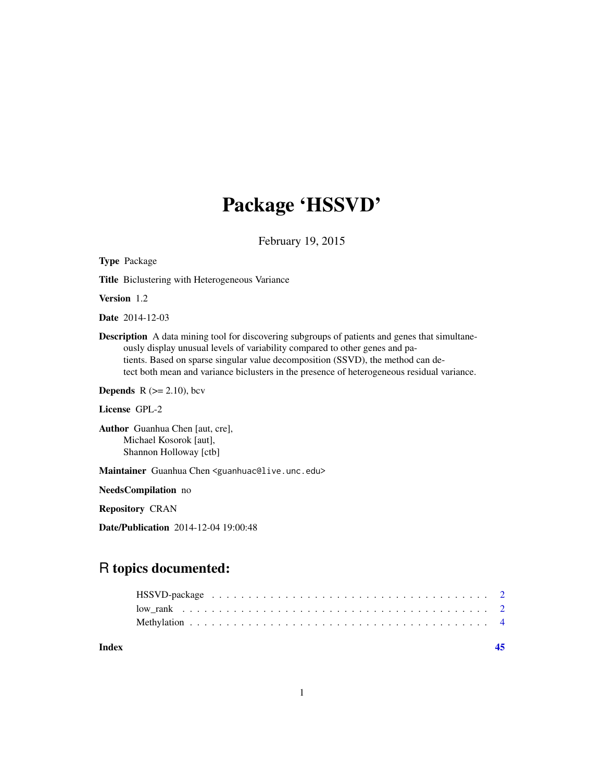## Package 'HSSVD'

February 19, 2015

Title Biclustering with Heterogeneous Variance Version 1.2 Date 2014-12-03 Description A data mining tool for discovering subgroups of patients and genes that simultaneously display unusual levels of variability compared to other genes and patients. Based on sparse singular value decomposition (SSVD), the method can detect both mean and variance biclusters in the presence of heterogeneous residual variance.

**Depends** R  $(>= 2.10)$ , bcv

License GPL-2

Type Package

Author Guanhua Chen [aut, cre], Michael Kosorok [aut], Shannon Holloway [ctb]

Maintainer Guanhua Chen <guanhuac@live.unc.edu>

NeedsCompilation no

Repository CRAN

Date/Publication 2014-12-04 19:00:48

### R topics documented:

**Index** [45](#page-44-0)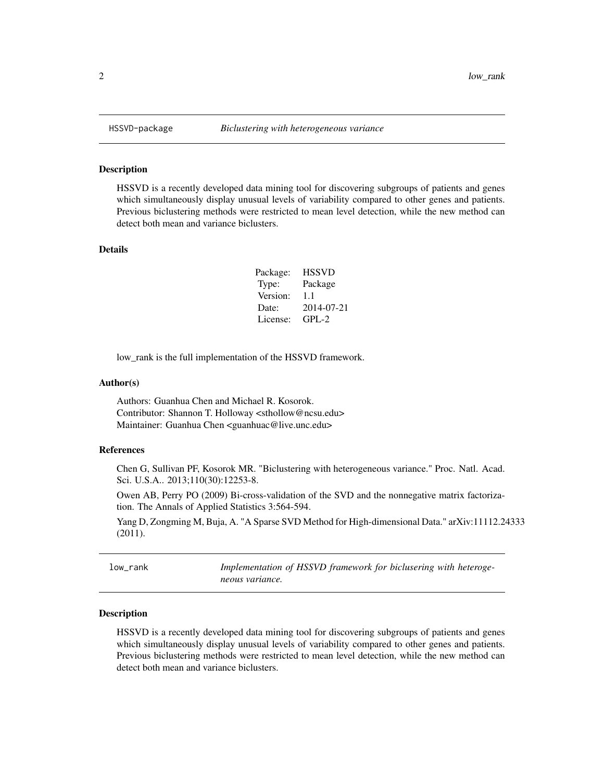#### Description

HSSVD is a recently developed data mining tool for discovering subgroups of patients and genes which simultaneously display unusual levels of variability compared to other genes and patients. Previous biclustering methods were restricted to mean level detection, while the new method can detect both mean and variance biclusters.

#### Details

| Package: | <b>HSSVD</b> |
|----------|--------------|
| Type:    | Package      |
| Version: | 1.1          |
| Date:    | 2014-07-21   |
| License: | $GPI - 2$    |

low\_rank is the full implementation of the HSSVD framework.

#### Author(s)

Authors: Guanhua Chen and Michael R. Kosorok. Contributor: Shannon T. Holloway <sthollow@ncsu.edu> Maintainer: Guanhua Chen <guanhuac@live.unc.edu>

#### References

Chen G, Sullivan PF, Kosorok MR. "Biclustering with heterogeneous variance." Proc. Natl. Acad. Sci. U.S.A.. 2013;110(30):12253-8.

Owen AB, Perry PO (2009) Bi-cross-validation of the SVD and the nonnegative matrix factorization. The Annals of Applied Statistics 3:564-594.

Yang D, Zongming M, Buja, A. "A Sparse SVD Method for High-dimensional Data." arXiv:11112.24333 (2011).

low\_rank *Implementation of HSSVD framework for biclusering with heterogeneous variance.*

#### Description

HSSVD is a recently developed data mining tool for discovering subgroups of patients and genes which simultaneously display unusual levels of variability compared to other genes and patients. Previous biclustering methods were restricted to mean level detection, while the new method can detect both mean and variance biclusters.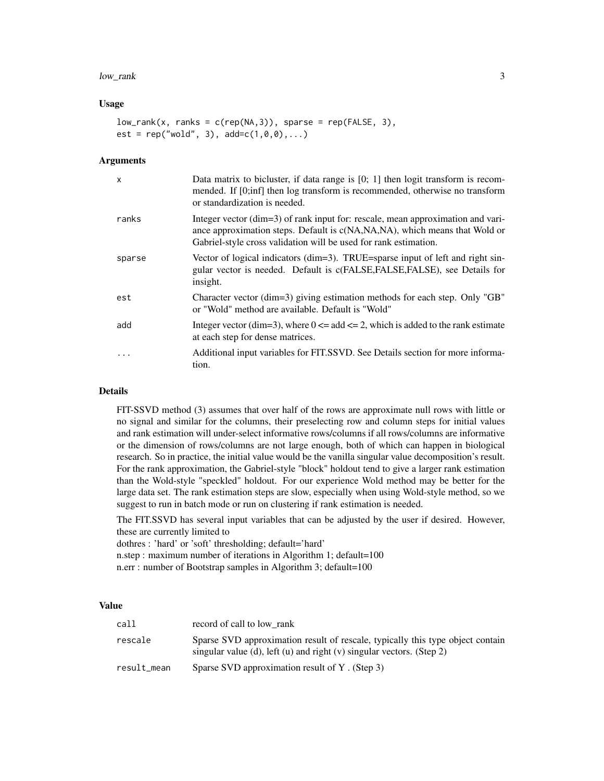#### low\_rank 3

#### Usage

```
low\_rank(x, ranks = c(rep(NA,3)), sparse = rep(FALE, 3),est = rep("wold", 3), add=c(1,0,0),...)
```
#### **Arguments**

| $\mathsf{x}$ | Data matrix to bicluster, if data range is $[0; 1]$ then logit transform is recom-<br>mended. If [0;inf] then log transform is recommended, otherwise no transform<br>or standardization is needed.                               |
|--------------|-----------------------------------------------------------------------------------------------------------------------------------------------------------------------------------------------------------------------------------|
| ranks        | Integer vector (dim=3) of rank input for: rescale, mean approximation and vari-<br>ance approximation steps. Default is c(NA,NA,NA), which means that Wold or<br>Gabriel-style cross validation will be used for rank estimation. |
| sparse       | Vector of logical indicators ( $\dim=3$ ). TRUE=sparse input of left and right sin-<br>gular vector is needed. Default is c(FALSE,FALSE,FALSE), see Details for<br>insight.                                                       |
| est          | Character vector (dim=3) giving estimation methods for each step. Only "GB"<br>or "Wold" method are available. Default is "Wold"                                                                                                  |
| add          | Integer vector (dim=3), where $0 \le a$ add $\le 2$ , which is added to the rank estimate<br>at each step for dense matrices.                                                                                                     |
| $\cdots$     | Additional input variables for FIT.SSVD. See Details section for more informa-<br>tion.                                                                                                                                           |

#### Details

FIT-SSVD method (3) assumes that over half of the rows are approximate null rows with little or no signal and similar for the columns, their preselecting row and column steps for initial values and rank estimation will under-select informative rows/columns if all rows/columns are informative or the dimension of rows/columns are not large enough, both of which can happen in biological research. So in practice, the initial value would be the vanilla singular value decomposition's result. For the rank approximation, the Gabriel-style "block" holdout tend to give a larger rank estimation than the Wold-style "speckled" holdout. For our experience Wold method may be better for the large data set. The rank estimation steps are slow, especially when using Wold-style method, so we suggest to run in batch mode or run on clustering if rank estimation is needed.

The FIT.SSVD has several input variables that can be adjusted by the user if desired. However, these are currently limited to

dothres : 'hard' or 'soft' thresholding; default='hard'

- n.step : maximum number of iterations in Algorithm 1; default=100
- n.err : number of Bootstrap samples in Algorithm 3; default=100

#### Value

| call        | record of call to low rank                                                                                                                              |
|-------------|---------------------------------------------------------------------------------------------------------------------------------------------------------|
| rescale     | Sparse SVD approximation result of rescale, typically this type object contain<br>singular value (d), left (u) and right (v) singular vectors. (Step 2) |
| result_mean | Sparse SVD approximation result of Y. (Step 3)                                                                                                          |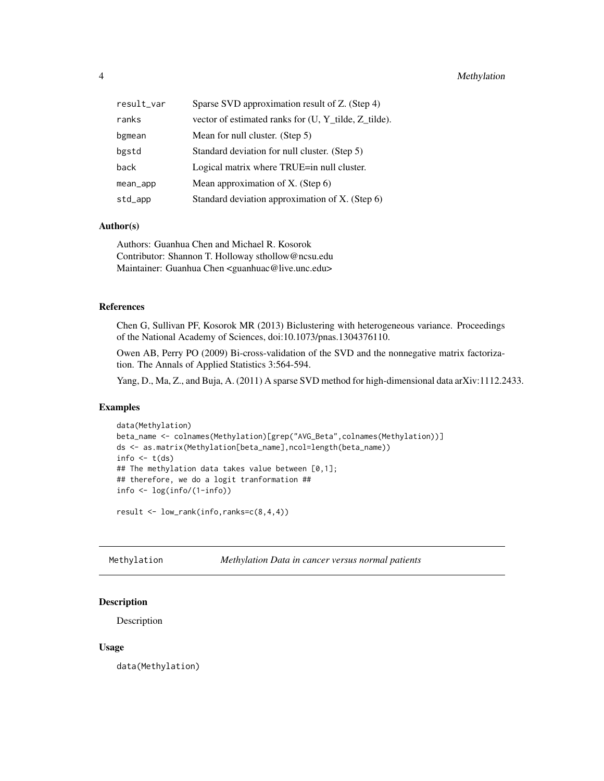<span id="page-3-0"></span>

| result_var | Sparse SVD approximation result of Z. (Step 4)       |
|------------|------------------------------------------------------|
| ranks      | vector of estimated ranks for (U, Y_tilde, Z_tilde). |
| bgmean     | Mean for null cluster. (Step 5)                      |
| bgstd      | Standard deviation for null cluster. (Step 5)        |
| back       | Logical matrix where TRUE=in null cluster.           |
| mean_app   | Mean approximation of X. (Step 6)                    |
| std_app    | Standard deviation approximation of X. (Step 6)      |

#### Author(s)

Authors: Guanhua Chen and Michael R. Kosorok Contributor: Shannon T. Holloway sthollow@ncsu.edu Maintainer: Guanhua Chen <guanhuac@live.unc.edu>

#### References

Chen G, Sullivan PF, Kosorok MR (2013) Biclustering with heterogeneous variance. Proceedings of the National Academy of Sciences, doi:10.1073/pnas.1304376110.

Owen AB, Perry PO (2009) Bi-cross-validation of the SVD and the nonnegative matrix factorization. The Annals of Applied Statistics 3:564-594.

Yang, D., Ma, Z., and Buja, A. (2011) A sparse SVD method for high-dimensional data arXiv:1112.2433.

#### Examples

```
data(Methylation)
beta_name <- colnames(Methylation)[grep("AVG_Beta",colnames(Methylation))]
ds <- as.matrix(Methylation[beta_name],ncol=length(beta_name))
info \leftarrow t(ds)
## The methylation data takes value between [0,1];
## therefore, we do a logit tranformation ##
info <- log(info/(1-info))
```
result <- low\_rank(info,ranks=c(8,4,4))

Methylation *Methylation Data in cancer versus normal patients*

#### Description

Description

#### Usage

data(Methylation)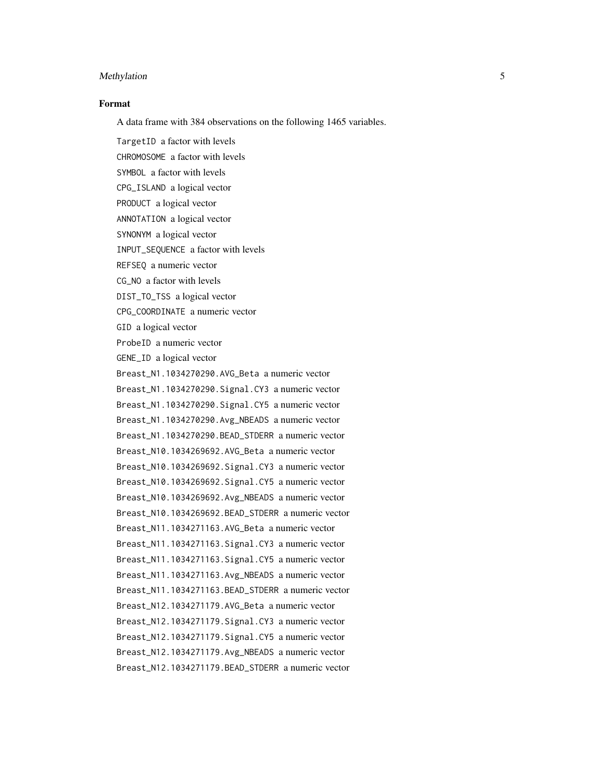#### Format

A data frame with 384 observations on the following 1465 variables.

TargetID a factor with levels CHROMOSOME a factor with levels SYMBOL a factor with levels CPG\_ISLAND a logical vector PRODUCT a logical vector ANNOTATION a logical vector SYNONYM a logical vector INPUT\_SEQUENCE a factor with levels REFSEQ a numeric vector CG\_NO a factor with levels DIST\_TO\_TSS a logical vector CPG\_COORDINATE a numeric vector GID a logical vector ProbeID a numeric vector GENE\_ID a logical vector Breast\_N1.1034270290.AVG\_Beta a numeric vector Breast\_N1.1034270290.Signal.CY3 a numeric vector Breast\_N1.1034270290.Signal.CY5 a numeric vector Breast\_N1.1034270290.Avg\_NBEADS a numeric vector Breast\_N1.1034270290.BEAD\_STDERR a numeric vector Breast\_N10.1034269692.AVG\_Beta a numeric vector Breast\_N10.1034269692.Signal.CY3 a numeric vector Breast\_N10.1034269692.Signal.CY5 a numeric vector Breast\_N10.1034269692.Avg\_NBEADS a numeric vector Breast\_N10.1034269692.BEAD\_STDERR a numeric vector Breast\_N11.1034271163.AVG\_Beta a numeric vector Breast\_N11.1034271163.Signal.CY3 a numeric vector Breast\_N11.1034271163.Signal.CY5 a numeric vector Breast\_N11.1034271163.Avg\_NBEADS a numeric vector Breast\_N11.1034271163.BEAD\_STDERR a numeric vector Breast\_N12.1034271179.AVG\_Beta a numeric vector Breast\_N12.1034271179.Signal.CY3 a numeric vector Breast\_N12.1034271179.Signal.CY5 a numeric vector Breast\_N12.1034271179.Avg\_NBEADS a numeric vector Breast\_N12.1034271179.BEAD\_STDERR a numeric vector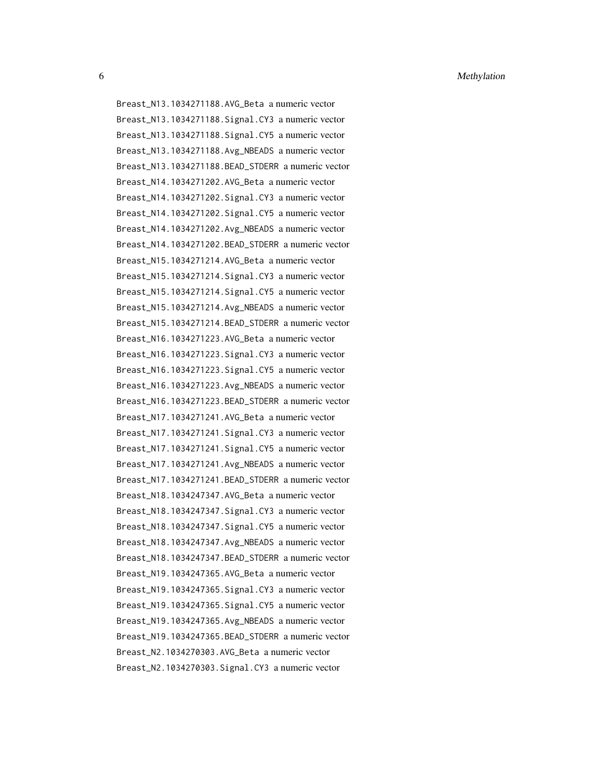Breast\_N13.1034271188.AVG\_Beta a numeric vector Breast\_N13.1034271188.Signal.CY3 a numeric vector Breast\_N13.1034271188.Signal.CY5 a numeric vector Breast\_N13.1034271188.Avg\_NBEADS a numeric vector Breast\_N13.1034271188.BEAD\_STDERR a numeric vector Breast\_N14.1034271202.AVG\_Beta a numeric vector Breast\_N14.1034271202.Signal.CY3 a numeric vector Breast\_N14.1034271202.Signal.CY5 a numeric vector Breast\_N14.1034271202.Avg\_NBEADS a numeric vector Breast\_N14.1034271202.BEAD\_STDERR a numeric vector Breast\_N15.1034271214.AVG\_Beta a numeric vector Breast\_N15.1034271214.Signal.CY3 a numeric vector Breast\_N15.1034271214.Signal.CY5 a numeric vector Breast\_N15.1034271214.Avg\_NBEADS a numeric vector Breast\_N15.1034271214.BEAD\_STDERR a numeric vector Breast\_N16.1034271223.AVG\_Beta a numeric vector Breast\_N16.1034271223.Signal.CY3 a numeric vector Breast\_N16.1034271223.Signal.CY5 a numeric vector Breast\_N16.1034271223.Avg\_NBEADS a numeric vector Breast\_N16.1034271223.BEAD\_STDERR a numeric vector Breast\_N17.1034271241.AVG\_Beta a numeric vector Breast\_N17.1034271241.Signal.CY3 a numeric vector Breast\_N17.1034271241.Signal.CY5 a numeric vector Breast\_N17.1034271241.Avg\_NBEADS a numeric vector Breast\_N17.1034271241.BEAD\_STDERR a numeric vector Breast\_N18.1034247347.AVG\_Beta a numeric vector Breast\_N18.1034247347.Signal.CY3 a numeric vector Breast\_N18.1034247347.Signal.CY5 a numeric vector Breast\_N18.1034247347.Avg\_NBEADS a numeric vector Breast\_N18.1034247347.BEAD\_STDERR a numeric vector Breast\_N19.1034247365.AVG\_Beta a numeric vector Breast\_N19.1034247365.Signal.CY3 a numeric vector Breast\_N19.1034247365.Signal.CY5 a numeric vector Breast\_N19.1034247365.Avg\_NBEADS a numeric vector Breast\_N19.1034247365.BEAD\_STDERR a numeric vector Breast\_N2.1034270303.AVG\_Beta a numeric vector Breast\_N2.1034270303.Signal.CY3 a numeric vector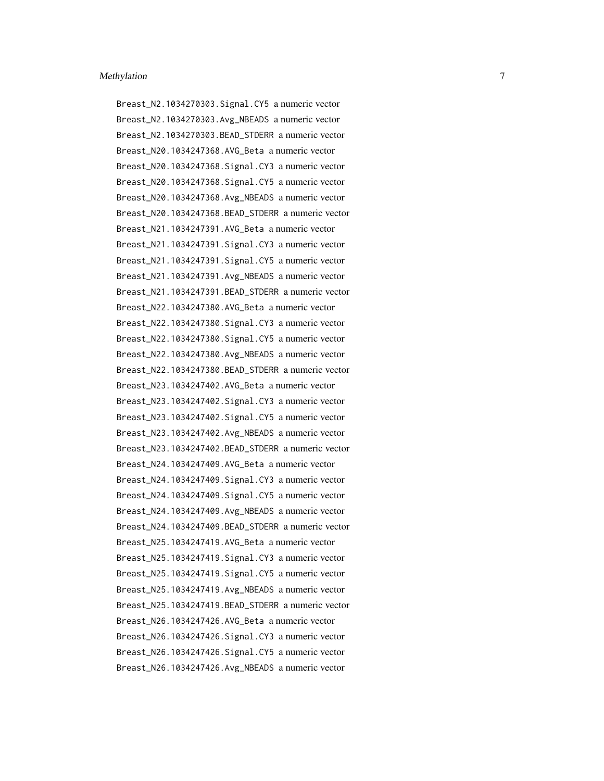Breast\_N2.1034270303.Signal.CY5 a numeric vector Breast\_N2.1034270303.Avg\_NBEADS a numeric vector Breast\_N2.1034270303.BEAD\_STDERR a numeric vector Breast\_N20.1034247368.AVG\_Beta a numeric vector Breast\_N20.1034247368.Signal.CY3 a numeric vector Breast\_N20.1034247368.Signal.CY5 a numeric vector Breast\_N20.1034247368.Avg\_NBEADS a numeric vector Breast\_N20.1034247368.BEAD\_STDERR a numeric vector Breast\_N21.1034247391.AVG\_Beta a numeric vector Breast\_N21.1034247391.Signal.CY3 a numeric vector Breast\_N21.1034247391.Signal.CY5 a numeric vector Breast\_N21.1034247391.Avg\_NBEADS a numeric vector Breast\_N21.1034247391.BEAD\_STDERR a numeric vector Breast\_N22.1034247380.AVG\_Beta a numeric vector Breast\_N22.1034247380.Signal.CY3 a numeric vector Breast\_N22.1034247380.Signal.CY5 a numeric vector Breast\_N22.1034247380.Avg\_NBEADS a numeric vector Breast\_N22.1034247380.BEAD\_STDERR a numeric vector Breast\_N23.1034247402.AVG\_Beta a numeric vector Breast\_N23.1034247402.Signal.CY3 a numeric vector Breast\_N23.1034247402.Signal.CY5 a numeric vector Breast\_N23.1034247402.Avg\_NBEADS a numeric vector Breast\_N23.1034247402.BEAD\_STDERR a numeric vector Breast\_N24.1034247409.AVG\_Beta a numeric vector Breast\_N24.1034247409.Signal.CY3 a numeric vector Breast\_N24.1034247409.Signal.CY5 a numeric vector Breast\_N24.1034247409.Avg\_NBEADS a numeric vector Breast\_N24.1034247409.BEAD\_STDERR a numeric vector Breast\_N25.1034247419.AVG\_Beta a numeric vector Breast\_N25.1034247419.Signal.CY3 a numeric vector Breast\_N25.1034247419.Signal.CY5 a numeric vector Breast\_N25.1034247419.Avg\_NBEADS a numeric vector Breast\_N25.1034247419.BEAD\_STDERR a numeric vector Breast\_N26.1034247426.AVG\_Beta a numeric vector Breast\_N26.1034247426.Signal.CY3 a numeric vector Breast\_N26.1034247426.Signal.CY5 a numeric vector Breast\_N26.1034247426.Avg\_NBEADS a numeric vector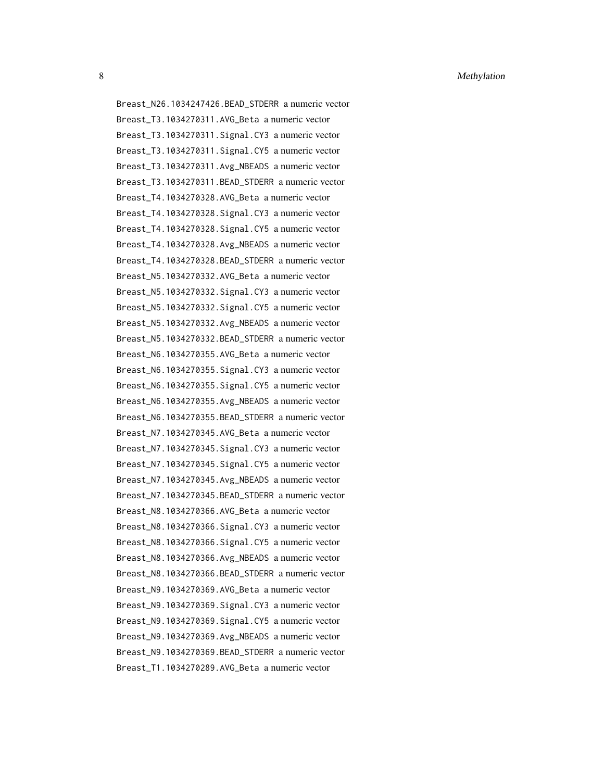8 Methylation **Methylation** 

Breast\_N26.1034247426.BEAD\_STDERR a numeric vector Breast\_T3.1034270311.AVG\_Beta a numeric vector Breast\_T3.1034270311.Signal.CY3 a numeric vector Breast\_T3.1034270311.Signal.CY5 a numeric vector Breast\_T3.1034270311.Avg\_NBEADS a numeric vector Breast\_T3.1034270311.BEAD\_STDERR a numeric vector Breast\_T4.1034270328.AVG\_Beta a numeric vector Breast\_T4.1034270328.Signal.CY3 a numeric vector Breast\_T4.1034270328.Signal.CY5 a numeric vector Breast\_T4.1034270328.Avg\_NBEADS a numeric vector Breast\_T4.1034270328.BEAD\_STDERR a numeric vector Breast\_N5.1034270332.AVG\_Beta a numeric vector Breast\_N5.1034270332.Signal.CY3 a numeric vector Breast\_N5.1034270332.Signal.CY5 a numeric vector Breast\_N5.1034270332.Avg\_NBEADS a numeric vector Breast\_N5.1034270332.BEAD\_STDERR a numeric vector Breast\_N6.1034270355.AVG\_Beta a numeric vector Breast\_N6.1034270355.Signal.CY3 a numeric vector Breast\_N6.1034270355.Signal.CY5 a numeric vector Breast\_N6.1034270355.Avg\_NBEADS a numeric vector Breast\_N6.1034270355.BEAD\_STDERR a numeric vector Breast\_N7.1034270345.AVG\_Beta a numeric vector Breast\_N7.1034270345.Signal.CY3 a numeric vector Breast\_N7.1034270345.Signal.CY5 a numeric vector Breast\_N7.1034270345.Avg\_NBEADS a numeric vector Breast\_N7.1034270345.BEAD\_STDERR a numeric vector Breast\_N8.1034270366.AVG\_Beta a numeric vector Breast\_N8.1034270366.Signal.CY3 a numeric vector Breast\_N8.1034270366.Signal.CY5 a numeric vector Breast\_N8.1034270366.Avg\_NBEADS a numeric vector Breast\_N8.1034270366.BEAD\_STDERR a numeric vector Breast\_N9.1034270369.AVG\_Beta a numeric vector Breast\_N9.1034270369.Signal.CY3 a numeric vector Breast\_N9.1034270369.Signal.CY5 a numeric vector Breast\_N9.1034270369.Avg\_NBEADS a numeric vector Breast\_N9.1034270369.BEAD\_STDERR a numeric vector Breast\_T1.1034270289.AVG\_Beta a numeric vector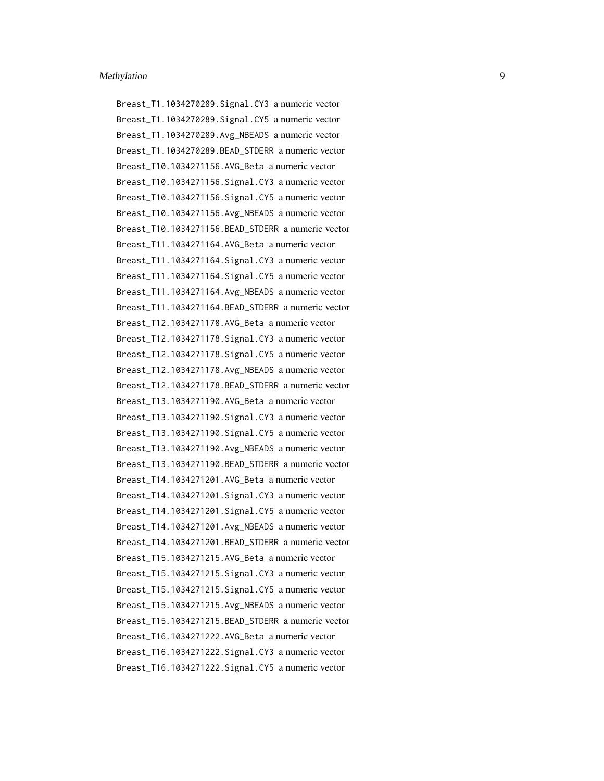Breast\_T1.1034270289.Signal.CY3 a numeric vector Breast\_T1.1034270289.Signal.CY5 a numeric vector Breast\_T1.1034270289.Avg\_NBEADS a numeric vector Breast\_T1.1034270289.BEAD\_STDERR a numeric vector Breast\_T10.1034271156.AVG\_Beta a numeric vector Breast\_T10.1034271156.Signal.CY3 a numeric vector Breast\_T10.1034271156.Signal.CY5 a numeric vector Breast\_T10.1034271156.Avg\_NBEADS a numeric vector Breast\_T10.1034271156.BEAD\_STDERR a numeric vector Breast\_T11.1034271164.AVG\_Beta a numeric vector Breast\_T11.1034271164.Signal.CY3 a numeric vector Breast\_T11.1034271164.Signal.CY5 a numeric vector Breast\_T11.1034271164.Avg\_NBEADS a numeric vector Breast T11.1034271164.BEAD STDERR a numeric vector Breast\_T12.1034271178.AVG\_Beta a numeric vector Breast\_T12.1034271178.Signal.CY3 a numeric vector Breast\_T12.1034271178.Signal.CY5 a numeric vector Breast\_T12.1034271178.Avg\_NBEADS a numeric vector Breast\_T12.1034271178.BEAD\_STDERR a numeric vector Breast\_T13.1034271190.AVG\_Beta a numeric vector Breast\_T13.1034271190.Signal.CY3 a numeric vector Breast\_T13.1034271190.Signal.CY5 a numeric vector Breast\_T13.1034271190.Avg\_NBEADS a numeric vector Breast\_T13.1034271190.BEAD\_STDERR a numeric vector Breast\_T14.1034271201.AVG\_Beta a numeric vector Breast\_T14.1034271201.Signal.CY3 a numeric vector Breast\_T14.1034271201.Signal.CY5 a numeric vector Breast\_T14.1034271201.Avg\_NBEADS a numeric vector Breast\_T14.1034271201.BEAD\_STDERR a numeric vector Breast\_T15.1034271215.AVG\_Beta a numeric vector Breast\_T15.1034271215.Signal.CY3 a numeric vector Breast\_T15.1034271215.Signal.CY5 a numeric vector Breast\_T15.1034271215.Avg\_NBEADS a numeric vector Breast\_T15.1034271215.BEAD\_STDERR a numeric vector Breast\_T16.1034271222.AVG\_Beta a numeric vector Breast\_T16.1034271222.Signal.CY3 a numeric vector Breast\_T16.1034271222.Signal.CY5 a numeric vector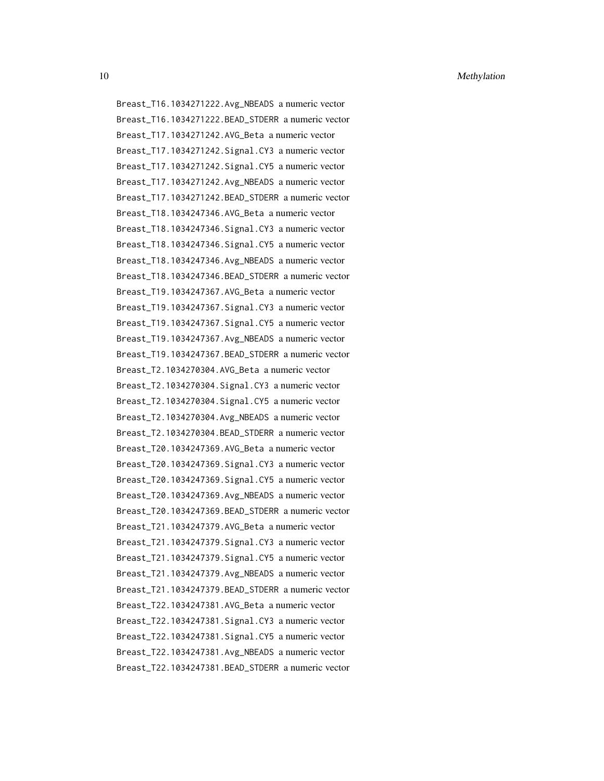10 Methylation **Methylation** 

Breast\_T16.1034271222.Avg\_NBEADS a numeric vector Breast\_T16.1034271222.BEAD\_STDERR a numeric vector Breast\_T17.1034271242.AVG\_Beta a numeric vector Breast\_T17.1034271242.Signal.CY3 a numeric vector Breast\_T17.1034271242.Signal.CY5 a numeric vector Breast\_T17.1034271242.Avg\_NBEADS a numeric vector Breast\_T17.1034271242.BEAD\_STDERR a numeric vector Breast\_T18.1034247346.AVG\_Beta a numeric vector Breast\_T18.1034247346.Signal.CY3 a numeric vector Breast\_T18.1034247346.Signal.CY5 a numeric vector Breast\_T18.1034247346.Avg\_NBEADS a numeric vector Breast\_T18.1034247346.BEAD\_STDERR a numeric vector Breast\_T19.1034247367.AVG\_Beta a numeric vector Breast\_T19.1034247367.Signal.CY3 a numeric vector Breast\_T19.1034247367.Signal.CY5 a numeric vector Breast\_T19.1034247367.Avg\_NBEADS a numeric vector Breast\_T19.1034247367.BEAD\_STDERR a numeric vector Breast\_T2.1034270304.AVG\_Beta a numeric vector Breast\_T2.1034270304.Signal.CY3 a numeric vector Breast\_T2.1034270304.Signal.CY5 a numeric vector Breast\_T2.1034270304.Avg\_NBEADS a numeric vector Breast\_T2.1034270304.BEAD\_STDERR a numeric vector Breast\_T20.1034247369.AVG\_Beta a numeric vector Breast\_T20.1034247369.Signal.CY3 a numeric vector Breast\_T20.1034247369.Signal.CY5 a numeric vector Breast\_T20.1034247369.Avg\_NBEADS a numeric vector Breast\_T20.1034247369.BEAD\_STDERR a numeric vector Breast\_T21.1034247379.AVG\_Beta a numeric vector Breast\_T21.1034247379.Signal.CY3 a numeric vector Breast\_T21.1034247379.Signal.CY5 a numeric vector Breast\_T21.1034247379.Avg\_NBEADS a numeric vector Breast\_T21.1034247379.BEAD\_STDERR a numeric vector Breast\_T22.1034247381.AVG\_Beta a numeric vector Breast\_T22.1034247381.Signal.CY3 a numeric vector Breast\_T22.1034247381.Signal.CY5 a numeric vector Breast\_T22.1034247381.Avg\_NBEADS a numeric vector Breast\_T22.1034247381.BEAD\_STDERR a numeric vector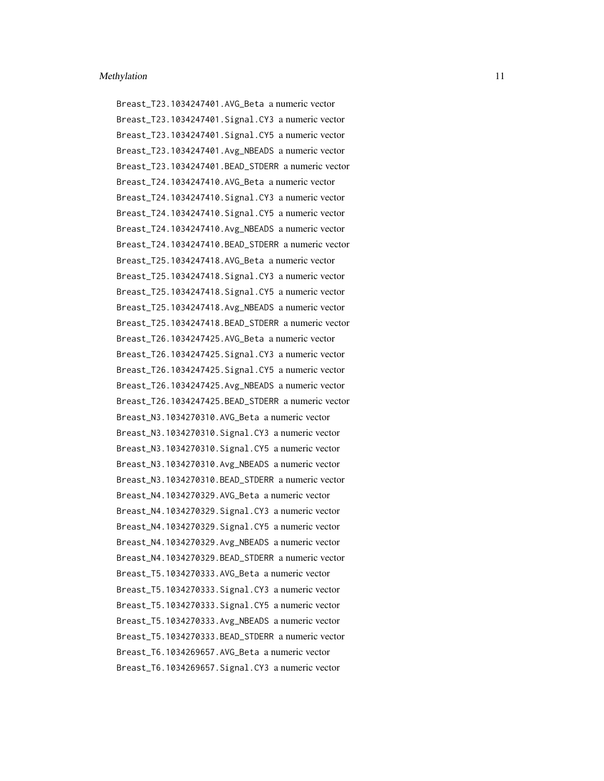Breast\_T23.1034247401.AVG\_Beta a numeric vector Breast\_T23.1034247401.Signal.CY3 a numeric vector Breast\_T23.1034247401.Signal.CY5 a numeric vector Breast\_T23.1034247401.Avg\_NBEADS a numeric vector Breast\_T23.1034247401.BEAD\_STDERR a numeric vector Breast\_T24.1034247410.AVG\_Beta a numeric vector Breast\_T24.1034247410.Signal.CY3 a numeric vector Breast\_T24.1034247410.Signal.CY5 a numeric vector Breast\_T24.1034247410.Avg\_NBEADS a numeric vector Breast\_T24.1034247410.BEAD\_STDERR a numeric vector Breast\_T25.1034247418.AVG\_Beta a numeric vector Breast\_T25.1034247418.Signal.CY3 a numeric vector Breast\_T25.1034247418.Signal.CY5 a numeric vector Breast\_T25.1034247418.Avg\_NBEADS a numeric vector Breast\_T25.1034247418.BEAD\_STDERR a numeric vector Breast\_T26.1034247425.AVG\_Beta a numeric vector Breast\_T26.1034247425.Signal.CY3 a numeric vector Breast\_T26.1034247425.Signal.CY5 a numeric vector Breast\_T26.1034247425.Avg\_NBEADS a numeric vector Breast\_T26.1034247425.BEAD\_STDERR a numeric vector Breast\_N3.1034270310.AVG\_Beta a numeric vector Breast\_N3.1034270310.Signal.CY3 a numeric vector Breast\_N3.1034270310.Signal.CY5 a numeric vector Breast\_N3.1034270310.Avg\_NBEADS a numeric vector Breast\_N3.1034270310.BEAD\_STDERR a numeric vector Breast\_N4.1034270329.AVG\_Beta a numeric vector Breast\_N4.1034270329.Signal.CY3 a numeric vector Breast\_N4.1034270329.Signal.CY5 a numeric vector Breast\_N4.1034270329.Avg\_NBEADS a numeric vector Breast\_N4.1034270329.BEAD\_STDERR a numeric vector Breast\_T5.1034270333.AVG\_Beta a numeric vector Breast\_T5.1034270333.Signal.CY3 a numeric vector Breast\_T5.1034270333.Signal.CY5 a numeric vector Breast\_T5.1034270333.Avg\_NBEADS a numeric vector Breast\_T5.1034270333.BEAD\_STDERR a numeric vector Breast\_T6.1034269657.AVG\_Beta a numeric vector Breast\_T6.1034269657.Signal.CY3 a numeric vector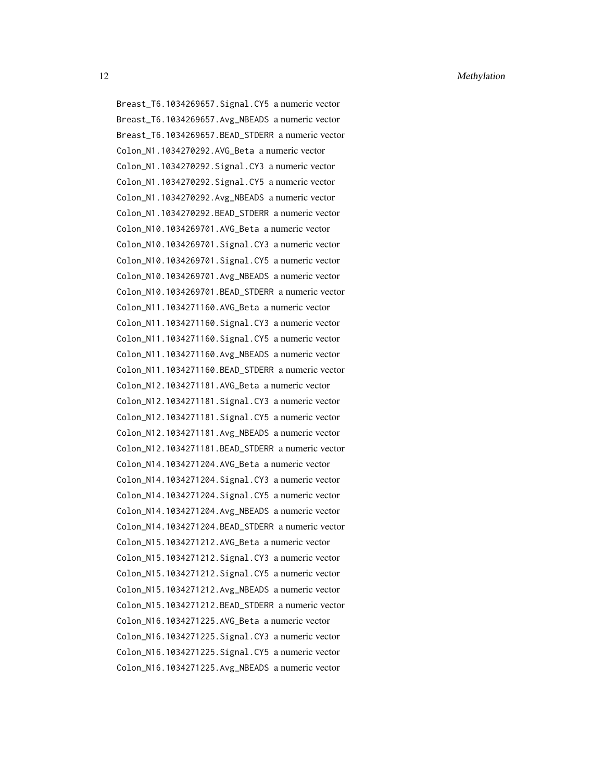12 Methylation **Methylation** 

Breast\_T6.1034269657.Signal.CY5 a numeric vector Breast\_T6.1034269657.Avg\_NBEADS a numeric vector Breast\_T6.1034269657.BEAD\_STDERR a numeric vector Colon\_N1.1034270292.AVG\_Beta a numeric vector Colon\_N1.1034270292.Signal.CY3 a numeric vector Colon\_N1.1034270292.Signal.CY5 a numeric vector Colon\_N1.1034270292.Avg\_NBEADS a numeric vector Colon\_N1.1034270292.BEAD\_STDERR a numeric vector Colon\_N10.1034269701.AVG\_Beta a numeric vector Colon\_N10.1034269701.Signal.CY3 a numeric vector Colon\_N10.1034269701.Signal.CY5 a numeric vector Colon\_N10.1034269701.Avg\_NBEADS a numeric vector Colon\_N10.1034269701.BEAD\_STDERR a numeric vector Colon\_N11.1034271160.AVG\_Beta a numeric vector Colon\_N11.1034271160.Signal.CY3 a numeric vector Colon\_N11.1034271160.Signal.CY5 a numeric vector Colon\_N11.1034271160.Avg\_NBEADS a numeric vector Colon\_N11.1034271160.BEAD\_STDERR a numeric vector Colon\_N12.1034271181.AVG\_Beta a numeric vector Colon\_N12.1034271181.Signal.CY3 a numeric vector Colon\_N12.1034271181.Signal.CY5 a numeric vector Colon\_N12.1034271181.Avg\_NBEADS a numeric vector Colon\_N12.1034271181.BEAD\_STDERR a numeric vector Colon\_N14.1034271204.AVG\_Beta a numeric vector Colon\_N14.1034271204.Signal.CY3 a numeric vector Colon\_N14.1034271204.Signal.CY5 a numeric vector Colon\_N14.1034271204.Avg\_NBEADS a numeric vector Colon\_N14.1034271204.BEAD\_STDERR a numeric vector Colon\_N15.1034271212.AVG\_Beta a numeric vector Colon\_N15.1034271212.Signal.CY3 a numeric vector Colon\_N15.1034271212.Signal.CY5 a numeric vector Colon\_N15.1034271212.Avg\_NBEADS a numeric vector Colon\_N15.1034271212.BEAD\_STDERR a numeric vector Colon\_N16.1034271225.AVG\_Beta a numeric vector Colon\_N16.1034271225.Signal.CY3 a numeric vector Colon\_N16.1034271225.Signal.CY5 a numeric vector Colon\_N16.1034271225.Avg\_NBEADS a numeric vector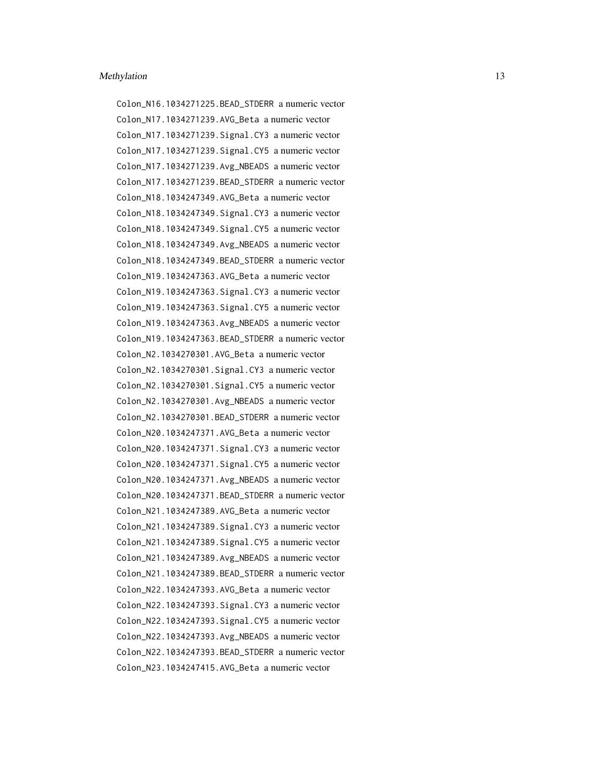Colon\_N16.1034271225.BEAD\_STDERR a numeric vector Colon\_N17.1034271239.AVG\_Beta a numeric vector Colon\_N17.1034271239.Signal.CY3 a numeric vector Colon\_N17.1034271239.Signal.CY5 a numeric vector Colon\_N17.1034271239.Avg\_NBEADS a numeric vector Colon\_N17.1034271239.BEAD\_STDERR a numeric vector Colon\_N18.1034247349.AVG\_Beta a numeric vector Colon\_N18.1034247349.Signal.CY3 a numeric vector Colon\_N18.1034247349.Signal.CY5 a numeric vector Colon\_N18.1034247349.Avg\_NBEADS a numeric vector Colon\_N18.1034247349.BEAD\_STDERR a numeric vector Colon\_N19.1034247363.AVG\_Beta a numeric vector Colon\_N19.1034247363.Signal.CY3 a numeric vector Colon\_N19.1034247363.Signal.CY5 a numeric vector Colon\_N19.1034247363.Avg\_NBEADS a numeric vector Colon\_N19.1034247363.BEAD\_STDERR a numeric vector Colon\_N2.1034270301.AVG\_Beta a numeric vector Colon\_N2.1034270301.Signal.CY3 a numeric vector Colon\_N2.1034270301.Signal.CY5 a numeric vector Colon\_N2.1034270301.Avg\_NBEADS a numeric vector Colon\_N2.1034270301.BEAD\_STDERR a numeric vector Colon\_N20.1034247371.AVG\_Beta a numeric vector Colon\_N20.1034247371.Signal.CY3 a numeric vector Colon\_N20.1034247371.Signal.CY5 a numeric vector Colon\_N20.1034247371.Avg\_NBEADS a numeric vector Colon\_N20.1034247371.BEAD\_STDERR a numeric vector Colon\_N21.1034247389.AVG\_Beta a numeric vector Colon\_N21.1034247389.Signal.CY3 a numeric vector Colon\_N21.1034247389.Signal.CY5 a numeric vector Colon\_N21.1034247389.Avg\_NBEADS a numeric vector Colon\_N21.1034247389.BEAD\_STDERR a numeric vector Colon\_N22.1034247393.AVG\_Beta a numeric vector Colon\_N22.1034247393.Signal.CY3 a numeric vector Colon\_N22.1034247393.Signal.CY5 a numeric vector Colon\_N22.1034247393.Avg\_NBEADS a numeric vector Colon\_N22.1034247393.BEAD\_STDERR a numeric vector Colon\_N23.1034247415.AVG\_Beta a numeric vector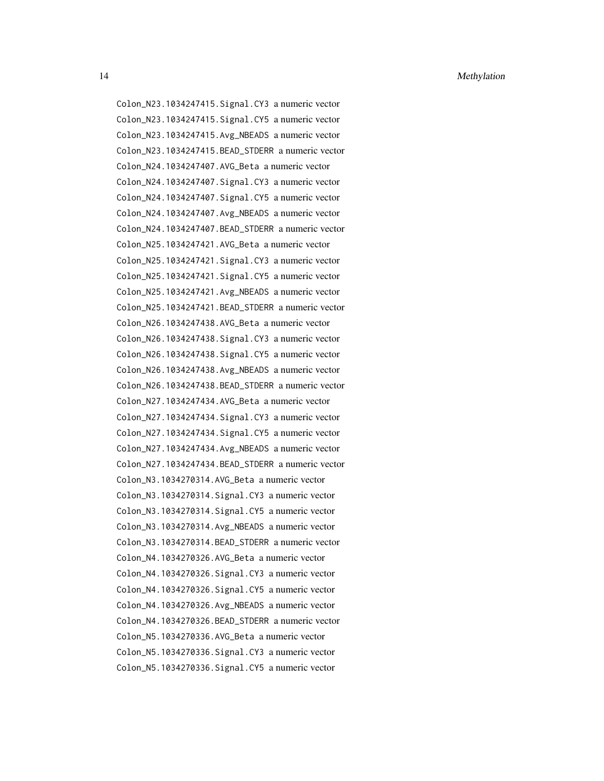Colon\_N23.1034247415.Signal.CY3 a numeric vector Colon\_N23.1034247415.Signal.CY5 a numeric vector Colon\_N23.1034247415.Avg\_NBEADS a numeric vector Colon\_N23.1034247415.BEAD\_STDERR a numeric vector Colon\_N24.1034247407.AVG\_Beta a numeric vector Colon\_N24.1034247407.Signal.CY3 a numeric vector Colon\_N24.1034247407.Signal.CY5 a numeric vector Colon\_N24.1034247407.Avg\_NBEADS a numeric vector Colon\_N24.1034247407.BEAD\_STDERR a numeric vector Colon\_N25.1034247421.AVG\_Beta a numeric vector Colon\_N25.1034247421.Signal.CY3 a numeric vector Colon\_N25.1034247421.Signal.CY5 a numeric vector Colon\_N25.1034247421.Avg\_NBEADS a numeric vector Colon\_N25.1034247421.BEAD\_STDERR a numeric vector Colon\_N26.1034247438.AVG\_Beta a numeric vector Colon\_N26.1034247438.Signal.CY3 a numeric vector Colon\_N26.1034247438.Signal.CY5 a numeric vector Colon\_N26.1034247438.Avg\_NBEADS a numeric vector Colon\_N26.1034247438.BEAD\_STDERR a numeric vector Colon\_N27.1034247434.AVG\_Beta a numeric vector Colon\_N27.1034247434.Signal.CY3 a numeric vector Colon\_N27.1034247434.Signal.CY5 a numeric vector Colon\_N27.1034247434.Avg\_NBEADS a numeric vector Colon\_N27.1034247434.BEAD\_STDERR a numeric vector Colon\_N3.1034270314.AVG\_Beta a numeric vector Colon\_N3.1034270314.Signal.CY3 a numeric vector Colon\_N3.1034270314.Signal.CY5 a numeric vector Colon\_N3.1034270314.Avg\_NBEADS a numeric vector Colon\_N3.1034270314.BEAD\_STDERR a numeric vector Colon\_N4.1034270326.AVG\_Beta a numeric vector Colon\_N4.1034270326.Signal.CY3 a numeric vector Colon\_N4.1034270326.Signal.CY5 a numeric vector Colon\_N4.1034270326.Avg\_NBEADS a numeric vector Colon\_N4.1034270326.BEAD\_STDERR a numeric vector Colon\_N5.1034270336.AVG\_Beta a numeric vector Colon\_N5.1034270336.Signal.CY3 a numeric vector Colon\_N5.1034270336.Signal.CY5 a numeric vector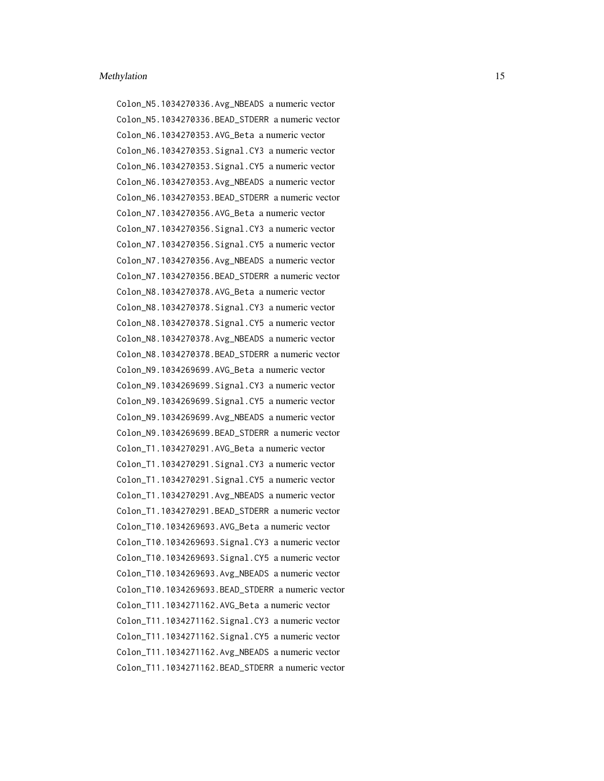Colon\_N5.1034270336.Avg\_NBEADS a numeric vector Colon\_N5.1034270336.BEAD\_STDERR a numeric vector Colon\_N6.1034270353.AVG\_Beta a numeric vector Colon\_N6.1034270353.Signal.CY3 a numeric vector Colon\_N6.1034270353.Signal.CY5 a numeric vector Colon\_N6.1034270353.Avg\_NBEADS a numeric vector Colon\_N6.1034270353.BEAD\_STDERR a numeric vector Colon\_N7.1034270356.AVG\_Beta a numeric vector Colon\_N7.1034270356.Signal.CY3 a numeric vector Colon\_N7.1034270356.Signal.CY5 a numeric vector Colon\_N7.1034270356.Avg\_NBEADS a numeric vector Colon\_N7.1034270356.BEAD\_STDERR a numeric vector Colon\_N8.1034270378.AVG\_Beta a numeric vector Colon\_N8.1034270378.Signal.CY3 a numeric vector Colon\_N8.1034270378.Signal.CY5 a numeric vector Colon\_N8.1034270378.Avg\_NBEADS a numeric vector Colon\_N8.1034270378.BEAD\_STDERR a numeric vector Colon\_N9.1034269699.AVG\_Beta a numeric vector Colon\_N9.1034269699.Signal.CY3 a numeric vector Colon\_N9.1034269699.Signal.CY5 a numeric vector Colon\_N9.1034269699.Avg\_NBEADS a numeric vector Colon\_N9.1034269699.BEAD\_STDERR a numeric vector Colon\_T1.1034270291.AVG\_Beta a numeric vector Colon\_T1.1034270291.Signal.CY3 a numeric vector Colon\_T1.1034270291.Signal.CY5 a numeric vector Colon\_T1.1034270291.Avg\_NBEADS a numeric vector Colon\_T1.1034270291.BEAD\_STDERR a numeric vector Colon\_T10.1034269693.AVG\_Beta a numeric vector Colon\_T10.1034269693.Signal.CY3 a numeric vector Colon\_T10.1034269693.Signal.CY5 a numeric vector Colon\_T10.1034269693.Avg\_NBEADS a numeric vector Colon\_T10.1034269693.BEAD\_STDERR a numeric vector Colon\_T11.1034271162.AVG\_Beta a numeric vector Colon\_T11.1034271162.Signal.CY3 a numeric vector Colon\_T11.1034271162.Signal.CY5 a numeric vector Colon\_T11.1034271162.Avg\_NBEADS a numeric vector Colon\_T11.1034271162.BEAD\_STDERR a numeric vector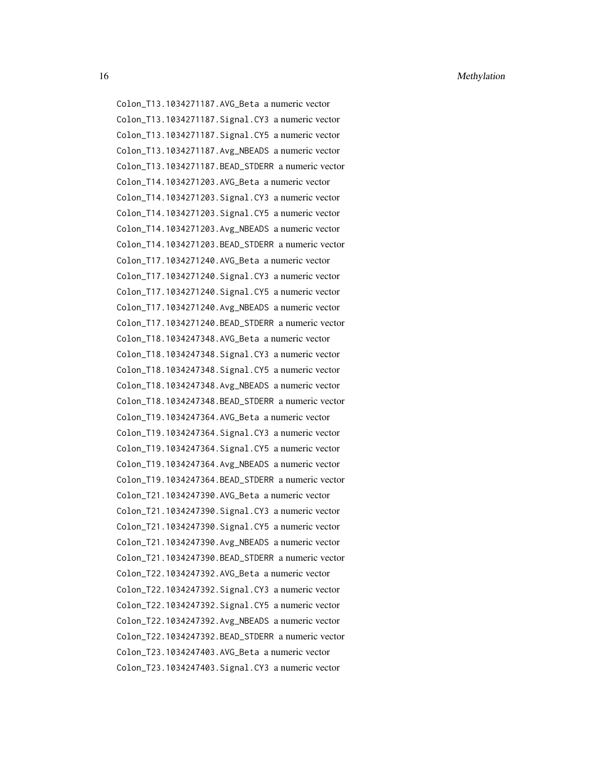16 Methylation **Methylation** 

Colon\_T13.1034271187.AVG\_Beta a numeric vector Colon\_T13.1034271187.Signal.CY3 a numeric vector Colon\_T13.1034271187.Signal.CY5 a numeric vector Colon\_T13.1034271187.Avg\_NBEADS a numeric vector Colon\_T13.1034271187.BEAD\_STDERR a numeric vector Colon\_T14.1034271203.AVG\_Beta a numeric vector Colon\_T14.1034271203.Signal.CY3 a numeric vector Colon\_T14.1034271203.Signal.CY5 a numeric vector Colon\_T14.1034271203.Avg\_NBEADS a numeric vector Colon\_T14.1034271203.BEAD\_STDERR a numeric vector Colon\_T17.1034271240.AVG\_Beta a numeric vector Colon\_T17.1034271240.Signal.CY3 a numeric vector Colon\_T17.1034271240.Signal.CY5 a numeric vector Colon\_T17.1034271240.Avg\_NBEADS a numeric vector Colon\_T17.1034271240.BEAD\_STDERR a numeric vector Colon\_T18.1034247348.AVG\_Beta a numeric vector Colon\_T18.1034247348.Signal.CY3 a numeric vector Colon\_T18.1034247348.Signal.CY5 a numeric vector Colon\_T18.1034247348.Avg\_NBEADS a numeric vector Colon\_T18.1034247348.BEAD\_STDERR a numeric vector Colon\_T19.1034247364.AVG\_Beta a numeric vector Colon\_T19.1034247364.Signal.CY3 a numeric vector Colon\_T19.1034247364.Signal.CY5 a numeric vector Colon\_T19.1034247364.Avg\_NBEADS a numeric vector Colon\_T19.1034247364.BEAD\_STDERR a numeric vector Colon\_T21.1034247390.AVG\_Beta a numeric vector Colon\_T21.1034247390.Signal.CY3 a numeric vector Colon\_T21.1034247390.Signal.CY5 a numeric vector Colon\_T21.1034247390.Avg\_NBEADS a numeric vector Colon\_T21.1034247390.BEAD\_STDERR a numeric vector Colon\_T22.1034247392.AVG\_Beta a numeric vector Colon\_T22.1034247392.Signal.CY3 a numeric vector Colon\_T22.1034247392.Signal.CY5 a numeric vector Colon\_T22.1034247392.Avg\_NBEADS a numeric vector Colon\_T22.1034247392.BEAD\_STDERR a numeric vector Colon\_T23.1034247403.AVG\_Beta a numeric vector Colon\_T23.1034247403.Signal.CY3 a numeric vector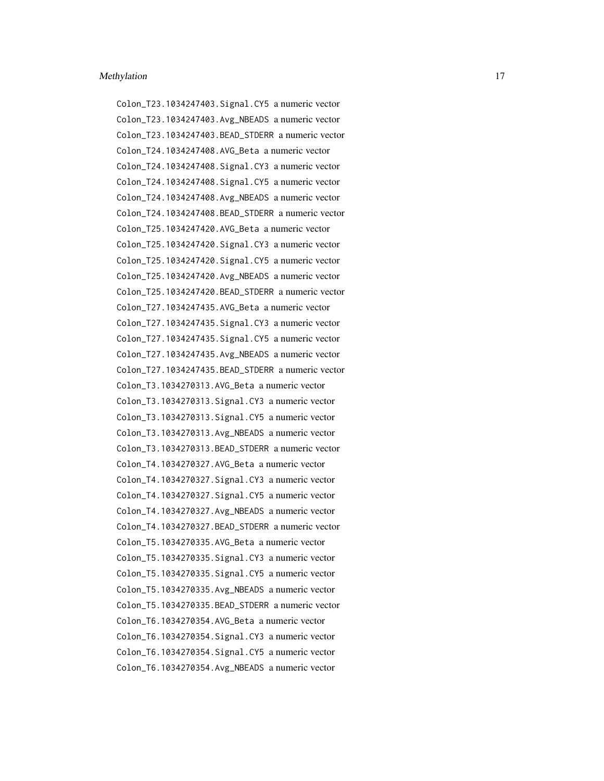Colon\_T23.1034247403.Signal.CY5 a numeric vector Colon\_T23.1034247403.Avg\_NBEADS a numeric vector Colon\_T23.1034247403.BEAD\_STDERR a numeric vector Colon\_T24.1034247408.AVG\_Beta a numeric vector Colon\_T24.1034247408.Signal.CY3 a numeric vector Colon\_T24.1034247408.Signal.CY5 a numeric vector Colon\_T24.1034247408.Avg\_NBEADS a numeric vector Colon\_T24.1034247408.BEAD\_STDERR a numeric vector Colon\_T25.1034247420.AVG\_Beta a numeric vector Colon\_T25.1034247420.Signal.CY3 a numeric vector Colon\_T25.1034247420.Signal.CY5 a numeric vector Colon\_T25.1034247420.Avg\_NBEADS a numeric vector Colon\_T25.1034247420.BEAD\_STDERR a numeric vector Colon\_T27.1034247435.AVG\_Beta a numeric vector Colon\_T27.1034247435.Signal.CY3 a numeric vector Colon\_T27.1034247435.Signal.CY5 a numeric vector Colon\_T27.1034247435.Avg\_NBEADS a numeric vector Colon\_T27.1034247435.BEAD\_STDERR a numeric vector Colon\_T3.1034270313.AVG\_Beta a numeric vector Colon\_T3.1034270313.Signal.CY3 a numeric vector Colon\_T3.1034270313.Signal.CY5 a numeric vector Colon\_T3.1034270313.Avg\_NBEADS a numeric vector Colon\_T3.1034270313.BEAD\_STDERR a numeric vector Colon\_T4.1034270327.AVG\_Beta a numeric vector Colon\_T4.1034270327.Signal.CY3 a numeric vector Colon\_T4.1034270327.Signal.CY5 a numeric vector Colon\_T4.1034270327.Avg\_NBEADS a numeric vector Colon\_T4.1034270327.BEAD\_STDERR a numeric vector Colon\_T5.1034270335.AVG\_Beta a numeric vector Colon\_T5.1034270335.Signal.CY3 a numeric vector Colon\_T5.1034270335.Signal.CY5 a numeric vector Colon\_T5.1034270335.Avg\_NBEADS a numeric vector Colon\_T5.1034270335.BEAD\_STDERR a numeric vector Colon\_T6.1034270354.AVG\_Beta a numeric vector Colon\_T6.1034270354.Signal.CY3 a numeric vector Colon\_T6.1034270354.Signal.CY5 a numeric vector Colon\_T6.1034270354.Avg\_NBEADS a numeric vector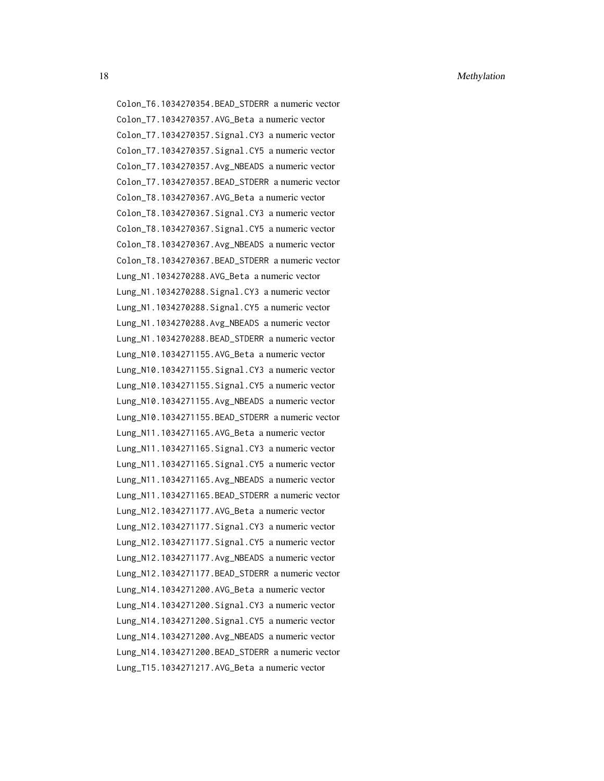18 Methylation **Methylation** 

Colon\_T6.1034270354.BEAD\_STDERR a numeric vector Colon\_T7.1034270357.AVG\_Beta a numeric vector Colon\_T7.1034270357.Signal.CY3 a numeric vector Colon\_T7.1034270357.Signal.CY5 a numeric vector Colon\_T7.1034270357.Avg\_NBEADS a numeric vector Colon\_T7.1034270357.BEAD\_STDERR a numeric vector Colon\_T8.1034270367.AVG\_Beta a numeric vector Colon\_T8.1034270367.Signal.CY3 a numeric vector Colon\_T8.1034270367.Signal.CY5 a numeric vector Colon\_T8.1034270367.Avg\_NBEADS a numeric vector Colon\_T8.1034270367.BEAD\_STDERR a numeric vector Lung\_N1.1034270288.AVG\_Beta a numeric vector Lung\_N1.1034270288.Signal.CY3 a numeric vector Lung\_N1.1034270288.Signal.CY5 a numeric vector Lung\_N1.1034270288.Avg\_NBEADS a numeric vector Lung\_N1.1034270288.BEAD\_STDERR a numeric vector Lung\_N10.1034271155.AVG\_Beta a numeric vector Lung\_N10.1034271155.Signal.CY3 a numeric vector Lung\_N10.1034271155.Signal.CY5 a numeric vector Lung\_N10.1034271155.Avg\_NBEADS a numeric vector Lung\_N10.1034271155.BEAD\_STDERR a numeric vector Lung\_N11.1034271165.AVG\_Beta a numeric vector Lung\_N11.1034271165.Signal.CY3 a numeric vector Lung\_N11.1034271165.Signal.CY5 a numeric vector Lung\_N11.1034271165.Avg\_NBEADS a numeric vector Lung\_N11.1034271165.BEAD\_STDERR a numeric vector Lung\_N12.1034271177.AVG\_Beta a numeric vector Lung\_N12.1034271177.Signal.CY3 a numeric vector Lung\_N12.1034271177.Signal.CY5 a numeric vector Lung\_N12.1034271177.Avg\_NBEADS a numeric vector Lung\_N12.1034271177.BEAD\_STDERR a numeric vector Lung\_N14.1034271200.AVG\_Beta a numeric vector Lung\_N14.1034271200.Signal.CY3 a numeric vector Lung\_N14.1034271200.Signal.CY5 a numeric vector Lung\_N14.1034271200.Avg\_NBEADS a numeric vector Lung\_N14.1034271200.BEAD\_STDERR a numeric vector Lung\_T15.1034271217.AVG\_Beta a numeric vector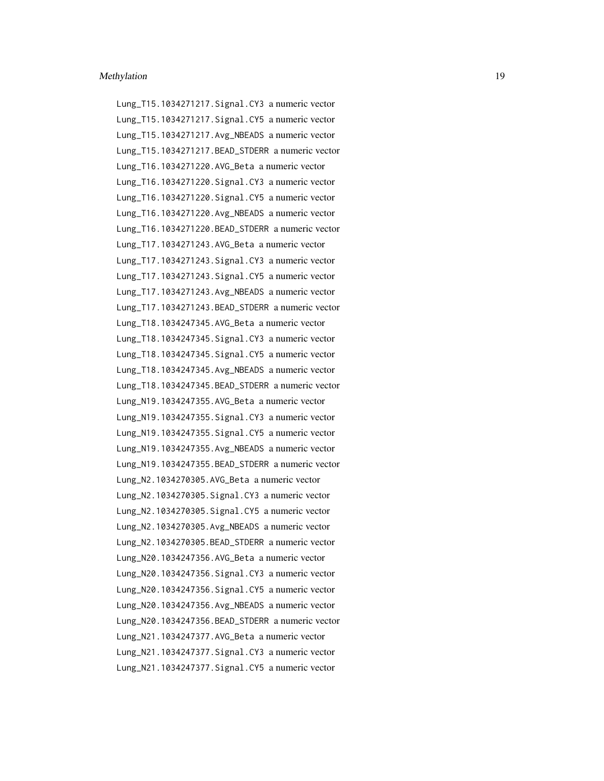Lung\_T15.1034271217.Signal.CY3 a numeric vector Lung\_T15.1034271217.Signal.CY5 a numeric vector Lung\_T15.1034271217.Avg\_NBEADS a numeric vector Lung\_T15.1034271217.BEAD\_STDERR a numeric vector Lung\_T16.1034271220.AVG\_Beta a numeric vector Lung\_T16.1034271220.Signal.CY3 a numeric vector Lung\_T16.1034271220.Signal.CY5 a numeric vector Lung\_T16.1034271220.Avg\_NBEADS a numeric vector Lung\_T16.1034271220.BEAD\_STDERR a numeric vector Lung\_T17.1034271243.AVG\_Beta a numeric vector Lung\_T17.1034271243.Signal.CY3 a numeric vector Lung\_T17.1034271243.Signal.CY5 a numeric vector Lung\_T17.1034271243.Avg\_NBEADS a numeric vector Lung\_T17.1034271243.BEAD\_STDERR a numeric vector Lung\_T18.1034247345.AVG\_Beta a numeric vector Lung\_T18.1034247345.Signal.CY3 a numeric vector Lung\_T18.1034247345.Signal.CY5 a numeric vector Lung\_T18.1034247345.Avg\_NBEADS a numeric vector Lung\_T18.1034247345.BEAD\_STDERR a numeric vector Lung\_N19.1034247355.AVG\_Beta a numeric vector Lung\_N19.1034247355.Signal.CY3 a numeric vector Lung\_N19.1034247355.Signal.CY5 a numeric vector Lung\_N19.1034247355.Avg\_NBEADS a numeric vector Lung\_N19.1034247355.BEAD\_STDERR a numeric vector Lung\_N2.1034270305.AVG\_Beta a numeric vector Lung\_N2.1034270305.Signal.CY3 a numeric vector Lung\_N2.1034270305.Signal.CY5 a numeric vector Lung\_N2.1034270305.Avg\_NBEADS a numeric vector Lung\_N2.1034270305.BEAD\_STDERR a numeric vector Lung\_N20.1034247356.AVG\_Beta a numeric vector Lung\_N20.1034247356.Signal.CY3 a numeric vector Lung\_N20.1034247356.Signal.CY5 a numeric vector Lung\_N20.1034247356.Avg\_NBEADS a numeric vector Lung\_N20.1034247356.BEAD\_STDERR a numeric vector Lung\_N21.1034247377.AVG\_Beta a numeric vector Lung\_N21.1034247377.Signal.CY3 a numeric vector Lung\_N21.1034247377.Signal.CY5 a numeric vector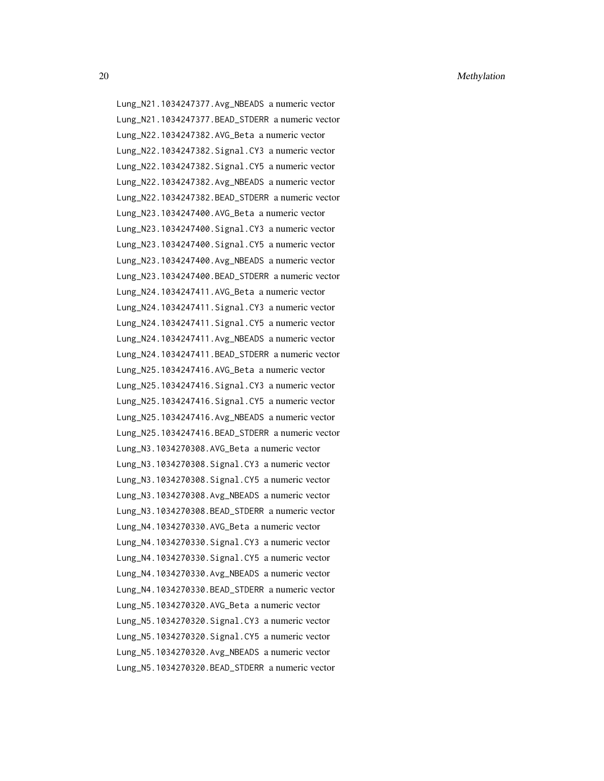20 Methylation **Methylation** 

Lung\_N21.1034247377.Avg\_NBEADS a numeric vector Lung\_N21.1034247377.BEAD\_STDERR a numeric vector Lung\_N22.1034247382.AVG\_Beta a numeric vector Lung\_N22.1034247382.Signal.CY3 a numeric vector Lung\_N22.1034247382.Signal.CY5 a numeric vector Lung\_N22.1034247382.Avg\_NBEADS a numeric vector Lung\_N22.1034247382.BEAD\_STDERR a numeric vector Lung\_N23.1034247400.AVG\_Beta a numeric vector Lung\_N23.1034247400.Signal.CY3 a numeric vector Lung\_N23.1034247400.Signal.CY5 a numeric vector Lung\_N23.1034247400.Avg\_NBEADS a numeric vector Lung\_N23.1034247400.BEAD\_STDERR a numeric vector Lung\_N24.1034247411.AVG\_Beta a numeric vector Lung\_N24.1034247411.Signal.CY3 a numeric vector Lung\_N24.1034247411.Signal.CY5 a numeric vector Lung\_N24.1034247411.Avg\_NBEADS a numeric vector Lung\_N24.1034247411.BEAD\_STDERR a numeric vector Lung\_N25.1034247416.AVG\_Beta a numeric vector Lung\_N25.1034247416.Signal.CY3 a numeric vector Lung\_N25.1034247416.Signal.CY5 a numeric vector Lung\_N25.1034247416.Avg\_NBEADS a numeric vector Lung\_N25.1034247416.BEAD\_STDERR a numeric vector Lung\_N3.1034270308.AVG\_Beta a numeric vector Lung\_N3.1034270308.Signal.CY3 a numeric vector Lung\_N3.1034270308.Signal.CY5 a numeric vector Lung\_N3.1034270308.Avg\_NBEADS a numeric vector Lung\_N3.1034270308.BEAD\_STDERR a numeric vector Lung\_N4.1034270330.AVG\_Beta a numeric vector Lung\_N4.1034270330.Signal.CY3 a numeric vector Lung\_N4.1034270330.Signal.CY5 a numeric vector Lung\_N4.1034270330.Avg\_NBEADS a numeric vector Lung\_N4.1034270330.BEAD\_STDERR a numeric vector Lung\_N5.1034270320.AVG\_Beta a numeric vector Lung\_N5.1034270320.Signal.CY3 a numeric vector Lung\_N5.1034270320.Signal.CY5 a numeric vector Lung\_N5.1034270320.Avg\_NBEADS a numeric vector Lung\_N5.1034270320.BEAD\_STDERR a numeric vector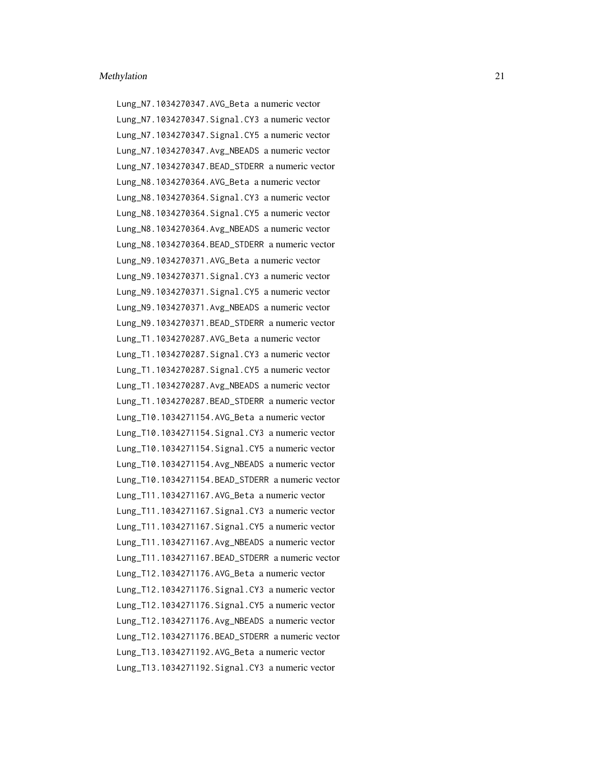Lung\_N7.1034270347.AVG\_Beta a numeric vector Lung\_N7.1034270347.Signal.CY3 a numeric vector Lung\_N7.1034270347.Signal.CY5 a numeric vector Lung\_N7.1034270347.Avg\_NBEADS a numeric vector Lung\_N7.1034270347.BEAD\_STDERR a numeric vector Lung\_N8.1034270364.AVG\_Beta a numeric vector Lung\_N8.1034270364.Signal.CY3 a numeric vector Lung\_N8.1034270364.Signal.CY5 a numeric vector Lung\_N8.1034270364.Avg\_NBEADS a numeric vector Lung\_N8.1034270364.BEAD\_STDERR a numeric vector Lung\_N9.1034270371.AVG\_Beta a numeric vector Lung\_N9.1034270371.Signal.CY3 a numeric vector Lung\_N9.1034270371.Signal.CY5 a numeric vector Lung\_N9.1034270371.Avg\_NBEADS a numeric vector Lung\_N9.1034270371.BEAD\_STDERR a numeric vector Lung\_T1.1034270287.AVG\_Beta a numeric vector Lung\_T1.1034270287.Signal.CY3 a numeric vector Lung\_T1.1034270287.Signal.CY5 a numeric vector Lung\_T1.1034270287.Avg\_NBEADS a numeric vector Lung\_T1.1034270287.BEAD\_STDERR a numeric vector Lung\_T10.1034271154.AVG\_Beta a numeric vector Lung\_T10.1034271154.Signal.CY3 a numeric vector Lung\_T10.1034271154.Signal.CY5 a numeric vector Lung\_T10.1034271154.Avg\_NBEADS a numeric vector Lung\_T10.1034271154.BEAD\_STDERR a numeric vector Lung\_T11.1034271167.AVG\_Beta a numeric vector Lung\_T11.1034271167.Signal.CY3 a numeric vector Lung\_T11.1034271167.Signal.CY5 a numeric vector Lung\_T11.1034271167.Avg\_NBEADS a numeric vector Lung\_T11.1034271167.BEAD\_STDERR a numeric vector Lung\_T12.1034271176.AVG\_Beta a numeric vector Lung\_T12.1034271176.Signal.CY3 a numeric vector Lung\_T12.1034271176.Signal.CY5 a numeric vector Lung\_T12.1034271176.Avg\_NBEADS a numeric vector Lung\_T12.1034271176.BEAD\_STDERR a numeric vector Lung\_T13.1034271192.AVG\_Beta a numeric vector Lung\_T13.1034271192.Signal.CY3 a numeric vector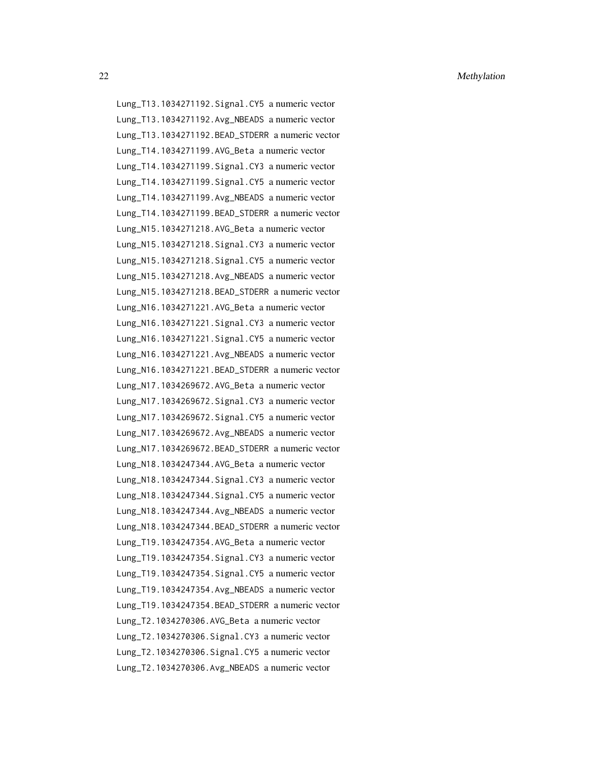22 Methylation **Methylation** 

Lung\_T13.1034271192.Signal.CY5 a numeric vector

Lung\_T13.1034271192.Avg\_NBEADS a numeric vector Lung\_T13.1034271192.BEAD\_STDERR a numeric vector Lung\_T14.1034271199.AVG\_Beta a numeric vector Lung\_T14.1034271199.Signal.CY3 a numeric vector Lung\_T14.1034271199.Signal.CY5 a numeric vector Lung\_T14.1034271199.Avg\_NBEADS a numeric vector Lung\_T14.1034271199.BEAD\_STDERR a numeric vector Lung\_N15.1034271218.AVG\_Beta a numeric vector Lung\_N15.1034271218.Signal.CY3 a numeric vector Lung\_N15.1034271218.Signal.CY5 a numeric vector Lung\_N15.1034271218.Avg\_NBEADS a numeric vector Lung\_N15.1034271218.BEAD\_STDERR a numeric vector Lung\_N16.1034271221.AVG\_Beta a numeric vector Lung\_N16.1034271221.Signal.CY3 a numeric vector Lung\_N16.1034271221.Signal.CY5 a numeric vector Lung\_N16.1034271221.Avg\_NBEADS a numeric vector Lung\_N16.1034271221.BEAD\_STDERR a numeric vector Lung\_N17.1034269672.AVG\_Beta a numeric vector Lung\_N17.1034269672.Signal.CY3 a numeric vector Lung\_N17.1034269672.Signal.CY5 a numeric vector Lung\_N17.1034269672.Avg\_NBEADS a numeric vector Lung\_N17.1034269672.BEAD\_STDERR a numeric vector Lung\_N18.1034247344.AVG\_Beta a numeric vector Lung\_N18.1034247344.Signal.CY3 a numeric vector Lung\_N18.1034247344.Signal.CY5 a numeric vector Lung\_N18.1034247344.Avg\_NBEADS a numeric vector Lung\_N18.1034247344.BEAD\_STDERR a numeric vector Lung\_T19.1034247354.AVG\_Beta a numeric vector Lung\_T19.1034247354.Signal.CY3 a numeric vector Lung\_T19.1034247354.Signal.CY5 a numeric vector Lung\_T19.1034247354.Avg\_NBEADS a numeric vector Lung\_T19.1034247354.BEAD\_STDERR a numeric vector Lung\_T2.1034270306.AVG\_Beta a numeric vector Lung\_T2.1034270306.Signal.CY3 a numeric vector Lung\_T2.1034270306.Signal.CY5 a numeric vector Lung\_T2.1034270306.Avg\_NBEADS a numeric vector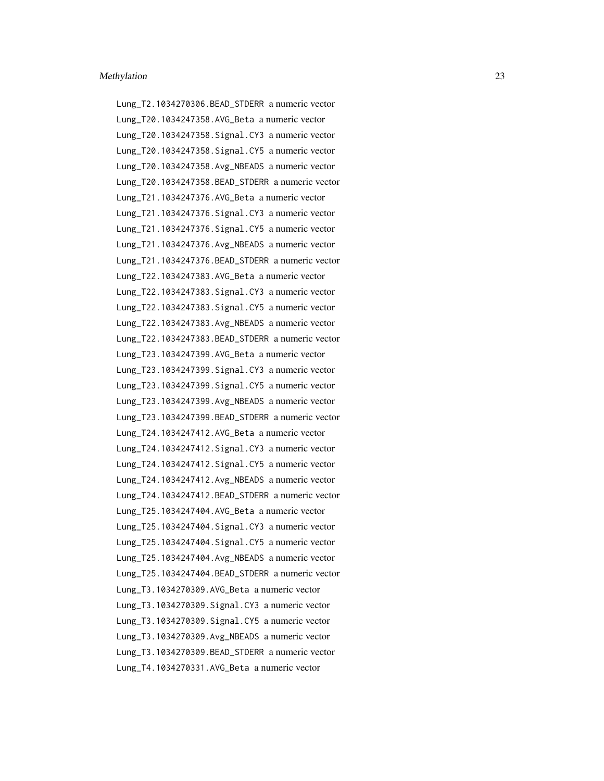Lung\_T2.1034270306.BEAD\_STDERR a numeric vector Lung\_T20.1034247358.AVG\_Beta a numeric vector Lung\_T20.1034247358.Signal.CY3 a numeric vector Lung\_T20.1034247358.Signal.CY5 a numeric vector Lung\_T20.1034247358.Avg\_NBEADS a numeric vector Lung\_T20.1034247358.BEAD\_STDERR a numeric vector Lung\_T21.1034247376.AVG\_Beta a numeric vector Lung\_T21.1034247376.Signal.CY3 a numeric vector Lung\_T21.1034247376.Signal.CY5 a numeric vector Lung\_T21.1034247376.Avg\_NBEADS a numeric vector Lung\_T21.1034247376.BEAD\_STDERR a numeric vector Lung\_T22.1034247383.AVG\_Beta a numeric vector Lung\_T22.1034247383.Signal.CY3 a numeric vector Lung\_T22.1034247383.Signal.CY5 a numeric vector Lung\_T22.1034247383.Avg\_NBEADS a numeric vector Lung\_T22.1034247383.BEAD\_STDERR a numeric vector Lung\_T23.1034247399.AVG\_Beta a numeric vector Lung\_T23.1034247399.Signal.CY3 a numeric vector Lung\_T23.1034247399.Signal.CY5 a numeric vector Lung\_T23.1034247399.Avg\_NBEADS a numeric vector Lung\_T23.1034247399.BEAD\_STDERR a numeric vector Lung\_T24.1034247412.AVG\_Beta a numeric vector Lung\_T24.1034247412.Signal.CY3 a numeric vector Lung\_T24.1034247412.Signal.CY5 a numeric vector Lung\_T24.1034247412.Avg\_NBEADS a numeric vector Lung\_T24.1034247412.BEAD\_STDERR a numeric vector Lung\_T25.1034247404.AVG\_Beta a numeric vector Lung\_T25.1034247404.Signal.CY3 a numeric vector Lung\_T25.1034247404.Signal.CY5 a numeric vector Lung\_T25.1034247404.Avg\_NBEADS a numeric vector Lung\_T25.1034247404.BEAD\_STDERR a numeric vector Lung\_T3.1034270309.AVG\_Beta a numeric vector Lung\_T3.1034270309.Signal.CY3 a numeric vector Lung\_T3.1034270309.Signal.CY5 a numeric vector Lung\_T3.1034270309.Avg\_NBEADS a numeric vector Lung\_T3.1034270309.BEAD\_STDERR a numeric vector Lung\_T4.1034270331.AVG\_Beta a numeric vector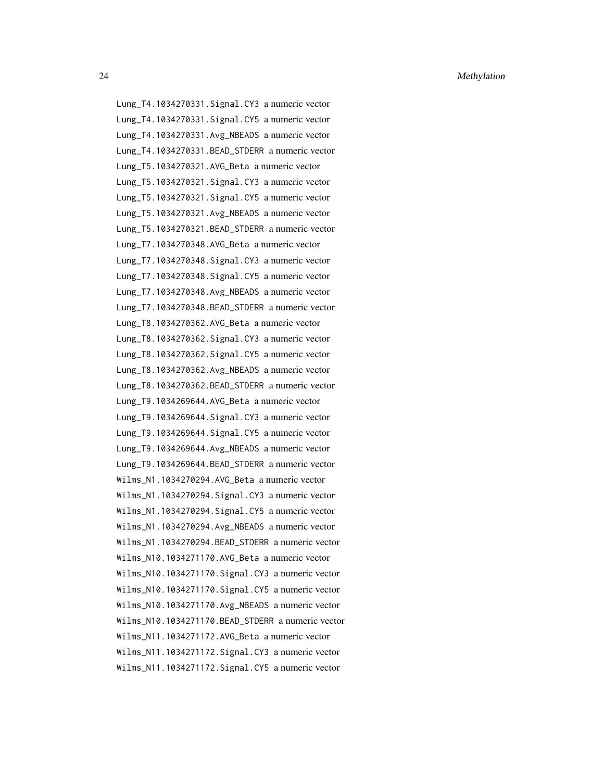Lung\_T4.1034270331.Signal.CY3 a numeric vector Lung\_T4.1034270331.Signal.CY5 a numeric vector Lung\_T4.1034270331.Avg\_NBEADS a numeric vector Lung\_T4.1034270331.BEAD\_STDERR a numeric vector Lung\_T5.1034270321.AVG\_Beta a numeric vector Lung\_T5.1034270321.Signal.CY3 a numeric vector Lung\_T5.1034270321.Signal.CY5 a numeric vector Lung\_T5.1034270321.Avg\_NBEADS a numeric vector Lung\_T5.1034270321.BEAD\_STDERR a numeric vector Lung\_T7.1034270348.AVG\_Beta a numeric vector Lung\_T7.1034270348.Signal.CY3 a numeric vector Lung\_T7.1034270348.Signal.CY5 a numeric vector Lung\_T7.1034270348.Avg\_NBEADS a numeric vector Lung\_T7.1034270348.BEAD\_STDERR a numeric vector Lung\_T8.1034270362.AVG\_Beta a numeric vector Lung\_T8.1034270362.Signal.CY3 a numeric vector Lung\_T8.1034270362.Signal.CY5 a numeric vector Lung\_T8.1034270362.Avg\_NBEADS a numeric vector Lung\_T8.1034270362.BEAD\_STDERR a numeric vector Lung\_T9.1034269644.AVG\_Beta a numeric vector Lung\_T9.1034269644.Signal.CY3 a numeric vector Lung\_T9.1034269644.Signal.CY5 a numeric vector Lung\_T9.1034269644.Avg\_NBEADS a numeric vector Lung\_T9.1034269644.BEAD\_STDERR a numeric vector Wilms\_N1.1034270294.AVG\_Beta a numeric vector Wilms\_N1.1034270294.Signal.CY3 a numeric vector Wilms\_N1.1034270294.Signal.CY5 a numeric vector Wilms\_N1.1034270294.Avg\_NBEADS a numeric vector Wilms\_N1.1034270294.BEAD\_STDERR a numeric vector Wilms\_N10.1034271170.AVG\_Beta a numeric vector Wilms\_N10.1034271170.Signal.CY3 a numeric vector Wilms\_N10.1034271170.Signal.CY5 a numeric vector Wilms\_N10.1034271170.Avg\_NBEADS a numeric vector Wilms\_N10.1034271170.BEAD\_STDERR a numeric vector Wilms\_N11.1034271172.AVG\_Beta a numeric vector Wilms\_N11.1034271172.Signal.CY3 a numeric vector Wilms\_N11.1034271172.Signal.CY5 a numeric vector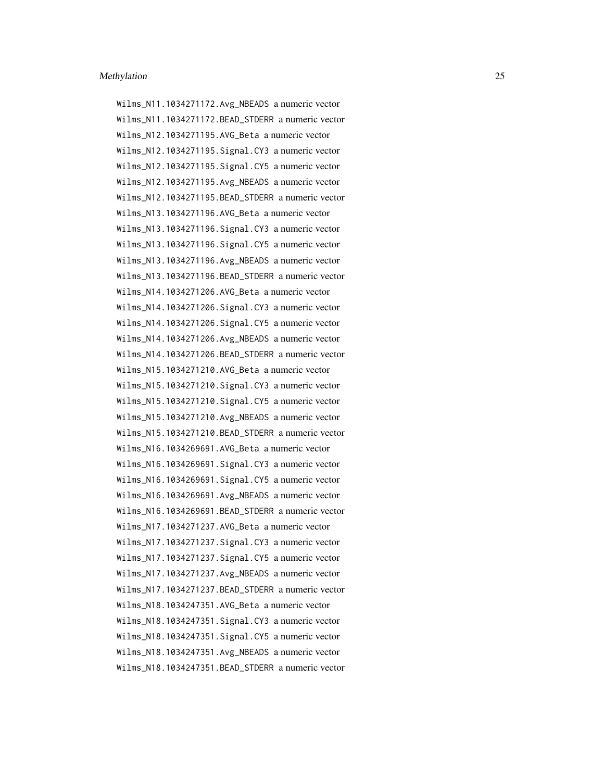Wilms\_N11.1034271172.Avg\_NBEADS a numeric vector Wilms\_N11.1034271172.BEAD\_STDERR a numeric vector Wilms\_N12.1034271195.AVG\_Beta a numeric vector Wilms\_N12.1034271195.Signal.CY3 a numeric vector Wilms\_N12.1034271195.Signal.CY5 a numeric vector Wilms\_N12.1034271195.Avg\_NBEADS a numeric vector Wilms\_N12.1034271195.BEAD\_STDERR a numeric vector Wilms\_N13.1034271196.AVG\_Beta a numeric vector Wilms\_N13.1034271196.Signal.CY3 a numeric vector Wilms\_N13.1034271196.Signal.CY5 a numeric vector Wilms\_N13.1034271196.Avg\_NBEADS a numeric vector Wilms\_N13.1034271196.BEAD\_STDERR a numeric vector Wilms\_N14.1034271206.AVG\_Beta a numeric vector Wilms\_N14.1034271206.Signal.CY3 a numeric vector Wilms\_N14.1034271206.Signal.CY5 a numeric vector Wilms\_N14.1034271206.Avg\_NBEADS a numeric vector Wilms\_N14.1034271206.BEAD\_STDERR a numeric vector Wilms\_N15.1034271210.AVG\_Beta a numeric vector Wilms\_N15.1034271210.Signal.CY3 a numeric vector Wilms\_N15.1034271210.Signal.CY5 a numeric vector Wilms\_N15.1034271210.Avg\_NBEADS a numeric vector Wilms\_N15.1034271210.BEAD\_STDERR a numeric vector Wilms\_N16.1034269691.AVG\_Beta a numeric vector Wilms\_N16.1034269691.Signal.CY3 a numeric vector Wilms\_N16.1034269691.Signal.CY5 a numeric vector Wilms\_N16.1034269691.Avg\_NBEADS a numeric vector Wilms\_N16.1034269691.BEAD\_STDERR a numeric vector Wilms\_N17.1034271237.AVG\_Beta a numeric vector Wilms\_N17.1034271237.Signal.CY3 a numeric vector Wilms\_N17.1034271237.Signal.CY5 a numeric vector Wilms\_N17.1034271237.Avg\_NBEADS a numeric vector Wilms\_N17.1034271237.BEAD\_STDERR a numeric vector Wilms\_N18.1034247351.AVG\_Beta a numeric vector Wilms\_N18.1034247351.Signal.CY3 a numeric vector Wilms\_N18.1034247351.Signal.CY5 a numeric vector Wilms\_N18.1034247351.Avg\_NBEADS a numeric vector Wilms\_N18.1034247351.BEAD\_STDERR a numeric vector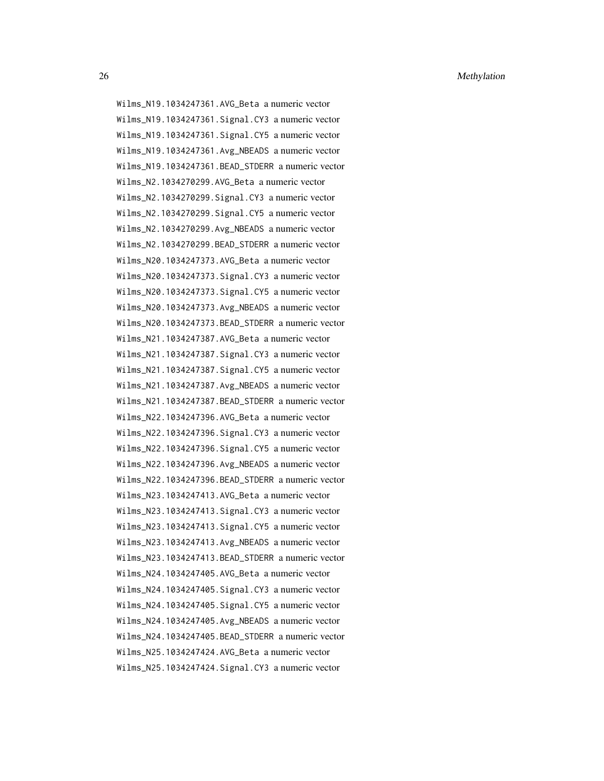26 Methylation 2008 Methylation 2008 Methylation 2008 Methylation 2008 Methylation 2008 Methylation 2008 Methylation 2008 Methylation 2008 Methylation 2008 Methylation 2008 Methylation 2008 Methylation 2008 Methylation 200

Wilms\_N19.1034247361.AVG\_Beta a numeric vector Wilms\_N19.1034247361.Signal.CY3 a numeric vector Wilms\_N19.1034247361.Signal.CY5 a numeric vector Wilms\_N19.1034247361.Avg\_NBEADS a numeric vector Wilms\_N19.1034247361.BEAD\_STDERR a numeric vector Wilms\_N2.1034270299.AVG\_Beta a numeric vector Wilms\_N2.1034270299.Signal.CY3 a numeric vector Wilms\_N2.1034270299.Signal.CY5 a numeric vector Wilms\_N2.1034270299.Avg\_NBEADS a numeric vector Wilms\_N2.1034270299.BEAD\_STDERR a numeric vector Wilms\_N20.1034247373.AVG\_Beta a numeric vector Wilms\_N20.1034247373.Signal.CY3 a numeric vector Wilms\_N20.1034247373.Signal.CY5 a numeric vector Wilms\_N20.1034247373.Avg\_NBEADS a numeric vector Wilms\_N20.1034247373.BEAD\_STDERR a numeric vector Wilms N21.1034247387.AVG Beta a numeric vector Wilms\_N21.1034247387.Signal.CY3 a numeric vector Wilms\_N21.1034247387.Signal.CY5 a numeric vector Wilms\_N21.1034247387.Avg\_NBEADS a numeric vector Wilms\_N21.1034247387.BEAD\_STDERR a numeric vector Wilms\_N22.1034247396.AVG\_Beta a numeric vector Wilms\_N22.1034247396.Signal.CY3 a numeric vector Wilms\_N22.1034247396.Signal.CY5 a numeric vector Wilms\_N22.1034247396.Avg\_NBEADS a numeric vector Wilms\_N22.1034247396.BEAD\_STDERR a numeric vector Wilms\_N23.1034247413.AVG\_Beta a numeric vector Wilms\_N23.1034247413.Signal.CY3 a numeric vector Wilms\_N23.1034247413.Signal.CY5 a numeric vector Wilms\_N23.1034247413.Avg\_NBEADS a numeric vector Wilms\_N23.1034247413.BEAD\_STDERR a numeric vector Wilms\_N24.1034247405.AVG\_Beta a numeric vector Wilms\_N24.1034247405.Signal.CY3 a numeric vector Wilms\_N24.1034247405.Signal.CY5 a numeric vector Wilms\_N24.1034247405.Avg\_NBEADS a numeric vector Wilms\_N24.1034247405.BEAD\_STDERR a numeric vector Wilms\_N25.1034247424.AVG\_Beta a numeric vector Wilms\_N25.1034247424.Signal.CY3 a numeric vector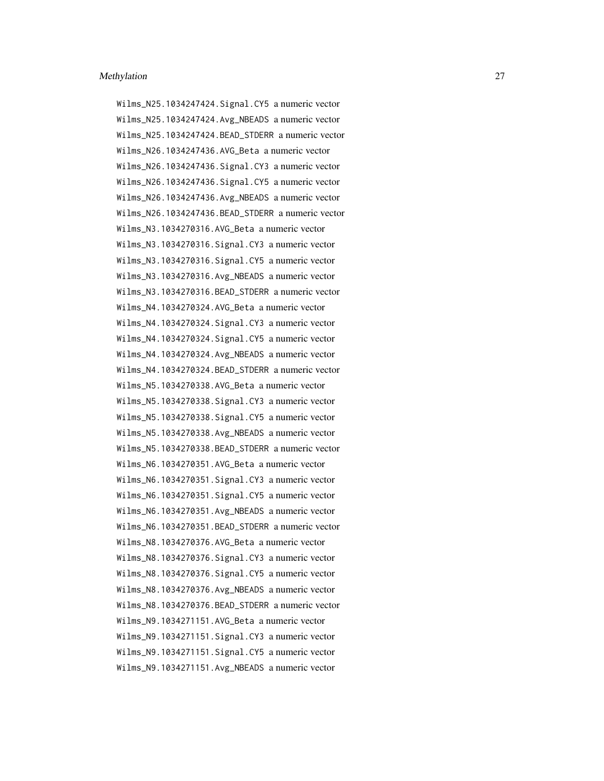Wilms\_N25.1034247424.Signal.CY5 a numeric vector Wilms\_N25.1034247424.Avg\_NBEADS a numeric vector Wilms\_N25.1034247424.BEAD\_STDERR a numeric vector Wilms\_N26.1034247436.AVG\_Beta a numeric vector Wilms\_N26.1034247436.Signal.CY3 a numeric vector Wilms\_N26.1034247436.Signal.CY5 a numeric vector Wilms\_N26.1034247436.Avg\_NBEADS a numeric vector Wilms\_N26.1034247436.BEAD\_STDERR a numeric vector Wilms\_N3.1034270316.AVG\_Beta a numeric vector Wilms\_N3.1034270316.Signal.CY3 a numeric vector Wilms\_N3.1034270316.Signal.CY5 a numeric vector Wilms\_N3.1034270316.Avg\_NBEADS a numeric vector Wilms\_N3.1034270316.BEAD\_STDERR a numeric vector Wilms N4.1034270324.AVG Beta a numeric vector Wilms\_N4.1034270324.Signal.CY3 a numeric vector Wilms\_N4.1034270324.Signal.CY5 a numeric vector Wilms\_N4.1034270324.Avg\_NBEADS a numeric vector Wilms\_N4.1034270324.BEAD\_STDERR a numeric vector Wilms\_N5.1034270338.AVG\_Beta a numeric vector Wilms\_N5.1034270338.Signal.CY3 a numeric vector Wilms\_N5.1034270338.Signal.CY5 a numeric vector Wilms\_N5.1034270338.Avg\_NBEADS a numeric vector Wilms\_N5.1034270338.BEAD\_STDERR a numeric vector Wilms\_N6.1034270351.AVG\_Beta a numeric vector Wilms\_N6.1034270351.Signal.CY3 a numeric vector Wilms\_N6.1034270351.Signal.CY5 a numeric vector Wilms\_N6.1034270351.Avg\_NBEADS a numeric vector Wilms\_N6.1034270351.BEAD\_STDERR a numeric vector Wilms\_N8.1034270376.AVG\_Beta a numeric vector Wilms\_N8.1034270376.Signal.CY3 a numeric vector Wilms\_N8.1034270376.Signal.CY5 a numeric vector Wilms\_N8.1034270376.Avg\_NBEADS a numeric vector Wilms\_N8.1034270376.BEAD\_STDERR a numeric vector Wilms\_N9.1034271151.AVG\_Beta a numeric vector Wilms\_N9.1034271151.Signal.CY3 a numeric vector Wilms\_N9.1034271151.Signal.CY5 a numeric vector Wilms\_N9.1034271151.Avg\_NBEADS a numeric vector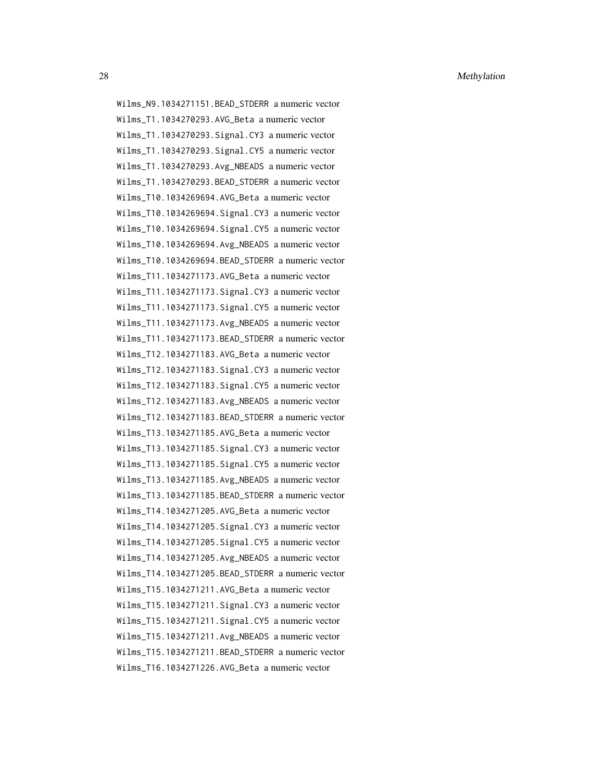Wilms\_N9.1034271151.BEAD\_STDERR a numeric vector Wilms\_T1.1034270293.AVG\_Beta a numeric vector Wilms\_T1.1034270293.Signal.CY3 a numeric vector Wilms\_T1.1034270293.Signal.CY5 a numeric vector Wilms\_T1.1034270293.Avg\_NBEADS a numeric vector Wilms\_T1.1034270293.BEAD\_STDERR a numeric vector Wilms\_T10.1034269694.AVG\_Beta a numeric vector Wilms\_T10.1034269694.Signal.CY3 a numeric vector Wilms\_T10.1034269694.Signal.CY5 a numeric vector Wilms\_T10.1034269694.Avg\_NBEADS a numeric vector Wilms\_T10.1034269694.BEAD\_STDERR a numeric vector Wilms\_T11.1034271173.AVG\_Beta a numeric vector Wilms\_T11.1034271173.Signal.CY3 a numeric vector Wilms\_T11.1034271173.Signal.CY5 a numeric vector Wilms\_T11.1034271173.Avg\_NBEADS a numeric vector Wilms\_T11.1034271173.BEAD\_STDERR a numeric vector Wilms\_T12.1034271183.AVG\_Beta a numeric vector Wilms\_T12.1034271183.Signal.CY3 a numeric vector Wilms\_T12.1034271183.Signal.CY5 a numeric vector Wilms\_T12.1034271183.Avg\_NBEADS a numeric vector Wilms\_T12.1034271183.BEAD\_STDERR a numeric vector Wilms\_T13.1034271185.AVG\_Beta a numeric vector Wilms\_T13.1034271185.Signal.CY3 a numeric vector Wilms\_T13.1034271185.Signal.CY5 a numeric vector Wilms\_T13.1034271185.Avg\_NBEADS a numeric vector Wilms T13.1034271185.BEAD STDERR a numeric vector Wilms\_T14.1034271205.AVG\_Beta a numeric vector Wilms\_T14.1034271205.Signal.CY3 a numeric vector Wilms\_T14.1034271205.Signal.CY5 a numeric vector Wilms\_T14.1034271205.Avg\_NBEADS a numeric vector Wilms\_T14.1034271205.BEAD\_STDERR a numeric vector Wilms\_T15.1034271211.AVG\_Beta a numeric vector Wilms\_T15.1034271211.Signal.CY3 a numeric vector Wilms\_T15.1034271211.Signal.CY5 a numeric vector Wilms\_T15.1034271211.Avg\_NBEADS a numeric vector Wilms\_T15.1034271211.BEAD\_STDERR a numeric vector Wilms\_T16.1034271226.AVG\_Beta a numeric vector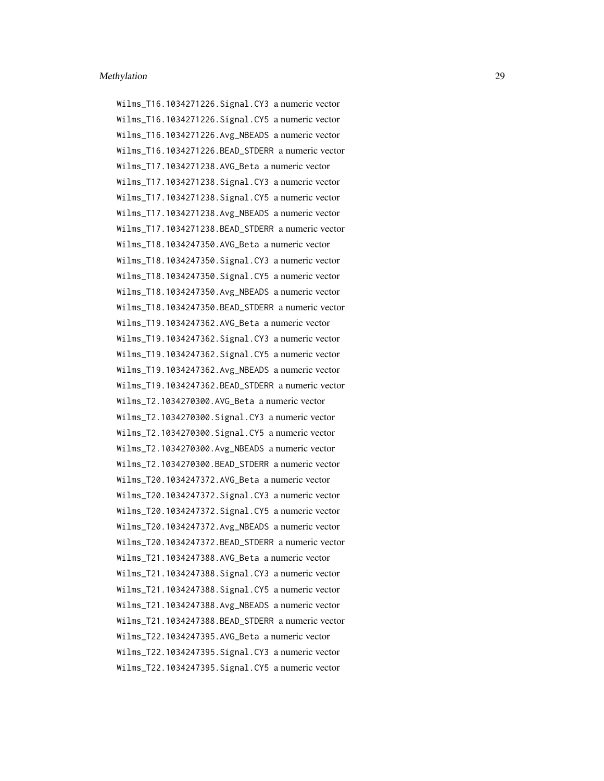Wilms\_T16.1034271226.Signal.CY3 a numeric vector Wilms\_T16.1034271226.Signal.CY5 a numeric vector Wilms\_T16.1034271226.Avg\_NBEADS a numeric vector Wilms\_T16.1034271226.BEAD\_STDERR a numeric vector Wilms\_T17.1034271238.AVG\_Beta a numeric vector Wilms\_T17.1034271238.Signal.CY3 a numeric vector Wilms\_T17.1034271238.Signal.CY5 a numeric vector Wilms\_T17.1034271238.Avg\_NBEADS a numeric vector Wilms\_T17.1034271238.BEAD\_STDERR a numeric vector Wilms\_T18.1034247350.AVG\_Beta a numeric vector Wilms\_T18.1034247350.Signal.CY3 a numeric vector Wilms\_T18.1034247350.Signal.CY5 a numeric vector Wilms\_T18.1034247350.Avg\_NBEADS a numeric vector Wilms T18.1034247350.BEAD STDERR a numeric vector Wilms\_T19.1034247362.AVG\_Beta a numeric vector Wilms\_T19.1034247362.Signal.CY3 a numeric vector Wilms\_T19.1034247362.Signal.CY5 a numeric vector Wilms\_T19.1034247362.Avg\_NBEADS a numeric vector Wilms\_T19.1034247362.BEAD\_STDERR a numeric vector Wilms\_T2.1034270300.AVG\_Beta a numeric vector Wilms\_T2.1034270300.Signal.CY3 a numeric vector Wilms\_T2.1034270300.Signal.CY5 a numeric vector Wilms\_T2.1034270300.Avg\_NBEADS a numeric vector Wilms\_T2.1034270300.BEAD\_STDERR a numeric vector Wilms\_T20.1034247372.AVG\_Beta a numeric vector Wilms\_T20.1034247372.Signal.CY3 a numeric vector Wilms\_T20.1034247372.Signal.CY5 a numeric vector Wilms\_T20.1034247372.Avg\_NBEADS a numeric vector Wilms\_T20.1034247372.BEAD\_STDERR a numeric vector Wilms\_T21.1034247388.AVG\_Beta a numeric vector Wilms\_T21.1034247388.Signal.CY3 a numeric vector Wilms\_T21.1034247388.Signal.CY5 a numeric vector Wilms\_T21.1034247388.Avg\_NBEADS a numeric vector Wilms\_T21.1034247388.BEAD\_STDERR a numeric vector Wilms\_T22.1034247395.AVG\_Beta a numeric vector Wilms\_T22.1034247395.Signal.CY3 a numeric vector Wilms\_T22.1034247395.Signal.CY5 a numeric vector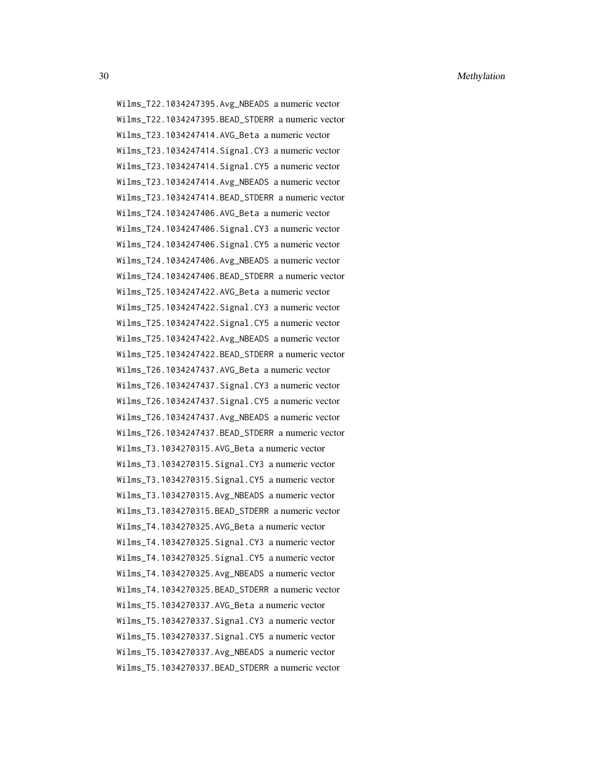Wilms\_T22.1034247395.Avg\_NBEADS a numeric vector Wilms\_T22.1034247395.BEAD\_STDERR a numeric vector Wilms\_T23.1034247414.AVG\_Beta a numeric vector Wilms\_T23.1034247414.Signal.CY3 a numeric vector Wilms\_T23.1034247414.Signal.CY5 a numeric vector Wilms\_T23.1034247414.Avg\_NBEADS a numeric vector Wilms\_T23.1034247414.BEAD\_STDERR a numeric vector Wilms\_T24.1034247406.AVG\_Beta a numeric vector Wilms\_T24.1034247406.Signal.CY3 a numeric vector Wilms\_T24.1034247406.Signal.CY5 a numeric vector Wilms\_T24.1034247406.Avg\_NBEADS a numeric vector Wilms\_T24.1034247406.BEAD\_STDERR a numeric vector Wilms\_T25.1034247422.AVG\_Beta a numeric vector Wilms\_T25.1034247422.Signal.CY3 a numeric vector Wilms\_T25.1034247422.Signal.CY5 a numeric vector Wilms\_T25.1034247422.Avg\_NBEADS a numeric vector Wilms\_T25.1034247422.BEAD\_STDERR a numeric vector Wilms\_T26.1034247437.AVG\_Beta a numeric vector Wilms\_T26.1034247437.Signal.CY3 a numeric vector Wilms\_T26.1034247437.Signal.CY5 a numeric vector Wilms\_T26.1034247437.Avg\_NBEADS a numeric vector Wilms\_T26.1034247437.BEAD\_STDERR a numeric vector Wilms\_T3.1034270315.AVG\_Beta a numeric vector Wilms\_T3.1034270315.Signal.CY3 a numeric vector Wilms\_T3.1034270315.Signal.CY5 a numeric vector Wilms\_T3.1034270315.Avg\_NBEADS a numeric vector Wilms\_T3.1034270315.BEAD\_STDERR a numeric vector Wilms\_T4.1034270325.AVG\_Beta a numeric vector Wilms\_T4.1034270325.Signal.CY3 a numeric vector Wilms\_T4.1034270325.Signal.CY5 a numeric vector Wilms\_T4.1034270325.Avg\_NBEADS a numeric vector Wilms\_T4.1034270325.BEAD\_STDERR a numeric vector Wilms\_T5.1034270337.AVG\_Beta a numeric vector Wilms\_T5.1034270337.Signal.CY3 a numeric vector Wilms\_T5.1034270337.Signal.CY5 a numeric vector Wilms\_T5.1034270337.Avg\_NBEADS a numeric vector Wilms\_T5.1034270337.BEAD\_STDERR a numeric vector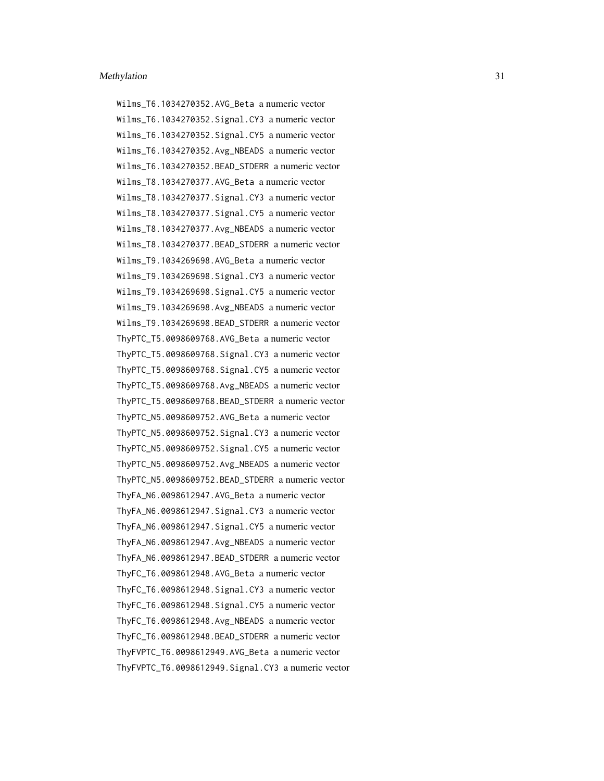Wilms\_T6.1034270352.AVG\_Beta a numeric vector Wilms\_T6.1034270352.Signal.CY3 a numeric vector Wilms\_T6.1034270352.Signal.CY5 a numeric vector Wilms\_T6.1034270352.Avg\_NBEADS a numeric vector Wilms\_T6.1034270352.BEAD\_STDERR a numeric vector Wilms\_T8.1034270377.AVG\_Beta a numeric vector Wilms\_T8.1034270377.Signal.CY3 a numeric vector Wilms\_T8.1034270377.Signal.CY5 a numeric vector Wilms\_T8.1034270377.Avg\_NBEADS a numeric vector Wilms\_T8.1034270377.BEAD\_STDERR a numeric vector Wilms\_T9.1034269698.AVG\_Beta a numeric vector Wilms\_T9.1034269698.Signal.CY3 a numeric vector Wilms\_T9.1034269698.Signal.CY5 a numeric vector Wilms\_T9.1034269698.Avg\_NBEADS a numeric vector Wilms\_T9.1034269698.BEAD\_STDERR a numeric vector ThyPTC\_T5.0098609768.AVG\_Beta a numeric vector ThyPTC\_T5.0098609768.Signal.CY3 a numeric vector ThyPTC\_T5.0098609768.Signal.CY5 a numeric vector ThyPTC\_T5.0098609768.Avg\_NBEADS a numeric vector ThyPTC\_T5.0098609768.BEAD\_STDERR a numeric vector ThyPTC\_N5.0098609752.AVG\_Beta a numeric vector ThyPTC\_N5.0098609752.Signal.CY3 a numeric vector ThyPTC\_N5.0098609752.Signal.CY5 a numeric vector ThyPTC\_N5.0098609752.Avg\_NBEADS a numeric vector ThyPTC\_N5.0098609752.BEAD\_STDERR a numeric vector ThyFA\_N6.0098612947.AVG\_Beta a numeric vector ThyFA\_N6.0098612947.Signal.CY3 a numeric vector ThyFA\_N6.0098612947.Signal.CY5 a numeric vector ThyFA\_N6.0098612947.Avg\_NBEADS a numeric vector ThyFA\_N6.0098612947.BEAD\_STDERR a numeric vector ThyFC\_T6.0098612948.AVG\_Beta a numeric vector ThyFC\_T6.0098612948.Signal.CY3 a numeric vector ThyFC\_T6.0098612948.Signal.CY5 a numeric vector ThyFC\_T6.0098612948.Avg\_NBEADS a numeric vector ThyFC\_T6.0098612948.BEAD\_STDERR a numeric vector ThyFVPTC\_T6.0098612949.AVG\_Beta a numeric vector ThyFVPTC\_T6.0098612949.Signal.CY3 a numeric vector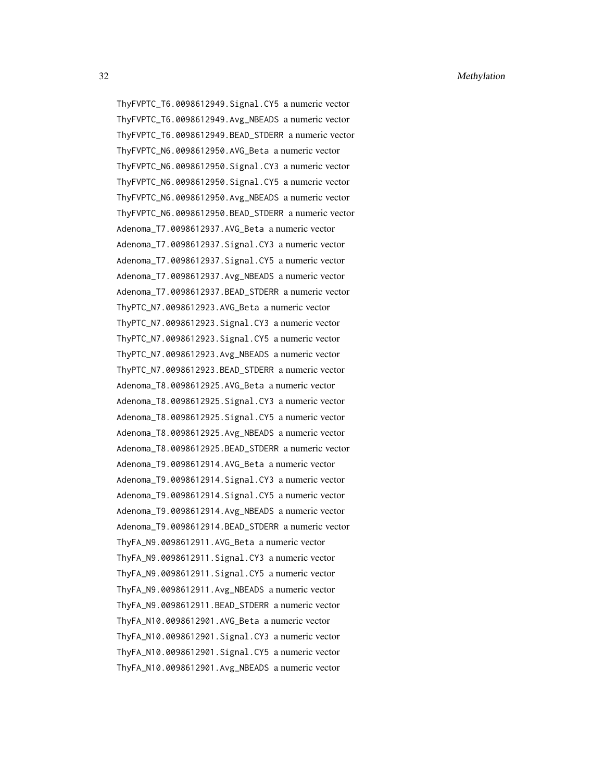ThyFVPTC\_T6.0098612949.Signal.CY5 a numeric vector ThyFVPTC\_T6.0098612949.Avg\_NBEADS a numeric vector ThyFVPTC\_T6.0098612949.BEAD\_STDERR a numeric vector ThyFVPTC\_N6.0098612950.AVG\_Beta a numeric vector ThyFVPTC\_N6.0098612950.Signal.CY3 a numeric vector ThyFVPTC\_N6.0098612950.Signal.CY5 a numeric vector ThyFVPTC\_N6.0098612950.Avg\_NBEADS a numeric vector ThyFVPTC\_N6.0098612950.BEAD\_STDERR a numeric vector Adenoma\_T7.0098612937.AVG\_Beta a numeric vector Adenoma\_T7.0098612937.Signal.CY3 a numeric vector Adenoma\_T7.0098612937.Signal.CY5 a numeric vector Adenoma\_T7.0098612937.Avg\_NBEADS a numeric vector Adenoma\_T7.0098612937.BEAD\_STDERR a numeric vector ThyPTC\_N7.0098612923.AVG\_Beta a numeric vector ThyPTC\_N7.0098612923.Signal.CY3 a numeric vector ThyPTC\_N7.0098612923.Signal.CY5 a numeric vector ThyPTC\_N7.0098612923.Avg\_NBEADS a numeric vector ThyPTC\_N7.0098612923.BEAD\_STDERR a numeric vector Adenoma\_T8.0098612925.AVG\_Beta a numeric vector Adenoma\_T8.0098612925.Signal.CY3 a numeric vector Adenoma\_T8.0098612925.Signal.CY5 a numeric vector Adenoma\_T8.0098612925.Avg\_NBEADS a numeric vector Adenoma\_T8.0098612925.BEAD\_STDERR a numeric vector Adenoma\_T9.0098612914.AVG\_Beta a numeric vector Adenoma\_T9.0098612914.Signal.CY3 a numeric vector Adenoma\_T9.0098612914.Signal.CY5 a numeric vector Adenoma\_T9.0098612914.Avg\_NBEADS a numeric vector Adenoma\_T9.0098612914.BEAD\_STDERR a numeric vector ThyFA\_N9.0098612911.AVG\_Beta a numeric vector ThyFA\_N9.0098612911.Signal.CY3 a numeric vector ThyFA\_N9.0098612911.Signal.CY5 a numeric vector ThyFA\_N9.0098612911.Avg\_NBEADS a numeric vector ThyFA\_N9.0098612911.BEAD\_STDERR a numeric vector ThyFA\_N10.0098612901.AVG\_Beta a numeric vector ThyFA\_N10.0098612901.Signal.CY3 a numeric vector ThyFA\_N10.0098612901.Signal.CY5 a numeric vector ThyFA\_N10.0098612901.Avg\_NBEADS a numeric vector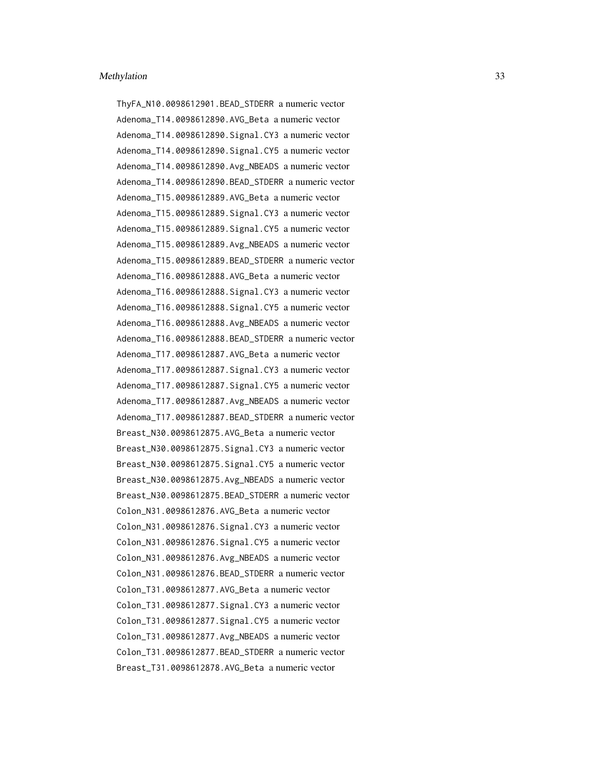ThyFA\_N10.0098612901.BEAD\_STDERR a numeric vector Adenoma\_T14.0098612890.AVG\_Beta a numeric vector Adenoma\_T14.0098612890.Signal.CY3 a numeric vector Adenoma\_T14.0098612890.Signal.CY5 a numeric vector Adenoma\_T14.0098612890.Avg\_NBEADS a numeric vector Adenoma\_T14.0098612890.BEAD\_STDERR a numeric vector Adenoma\_T15.0098612889.AVG\_Beta a numeric vector Adenoma\_T15.0098612889.Signal.CY3 a numeric vector Adenoma\_T15.0098612889.Signal.CY5 a numeric vector Adenoma\_T15.0098612889.Avg\_NBEADS a numeric vector Adenoma\_T15.0098612889.BEAD\_STDERR a numeric vector Adenoma\_T16.0098612888.AVG\_Beta a numeric vector Adenoma\_T16.0098612888.Signal.CY3 a numeric vector Adenoma\_T16.0098612888.Signal.CY5 a numeric vector Adenoma\_T16.0098612888.Avg\_NBEADS a numeric vector Adenoma\_T16.0098612888.BEAD\_STDERR a numeric vector Adenoma\_T17.0098612887.AVG\_Beta a numeric vector Adenoma\_T17.0098612887.Signal.CY3 a numeric vector Adenoma\_T17.0098612887.Signal.CY5 a numeric vector Adenoma\_T17.0098612887.Avg\_NBEADS a numeric vector Adenoma\_T17.0098612887.BEAD\_STDERR a numeric vector Breast\_N30.0098612875.AVG\_Beta a numeric vector Breast\_N30.0098612875.Signal.CY3 a numeric vector Breast\_N30.0098612875.Signal.CY5 a numeric vector Breast\_N30.0098612875.Avg\_NBEADS a numeric vector Breast\_N30.0098612875.BEAD\_STDERR a numeric vector Colon\_N31.0098612876.AVG\_Beta a numeric vector Colon\_N31.0098612876.Signal.CY3 a numeric vector Colon\_N31.0098612876.Signal.CY5 a numeric vector Colon\_N31.0098612876.Avg\_NBEADS a numeric vector Colon\_N31.0098612876.BEAD\_STDERR a numeric vector Colon\_T31.0098612877.AVG\_Beta a numeric vector Colon\_T31.0098612877.Signal.CY3 a numeric vector Colon\_T31.0098612877.Signal.CY5 a numeric vector Colon\_T31.0098612877.Avg\_NBEADS a numeric vector Colon\_T31.0098612877.BEAD\_STDERR a numeric vector Breast\_T31.0098612878.AVG\_Beta a numeric vector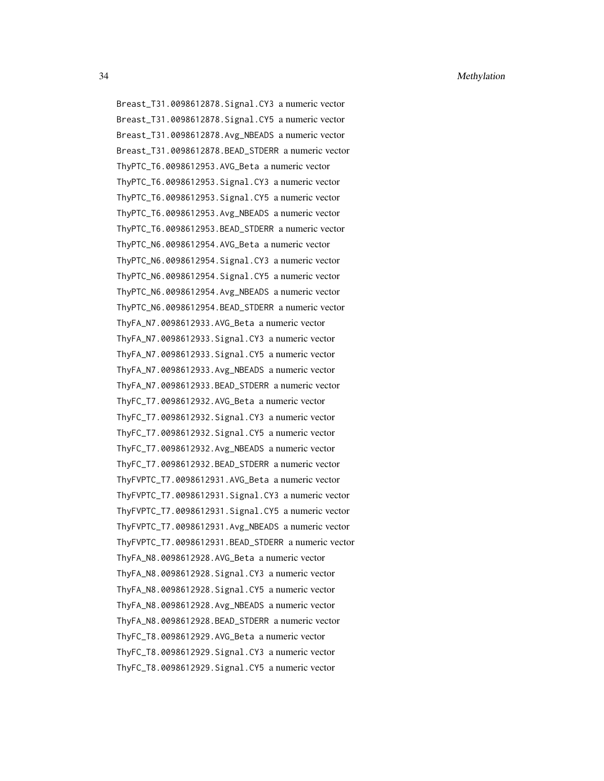Breast\_T31.0098612878.Signal.CY3 a numeric vector Breast\_T31.0098612878.Signal.CY5 a numeric vector Breast\_T31.0098612878.Avg\_NBEADS a numeric vector Breast\_T31.0098612878.BEAD\_STDERR a numeric vector ThyPTC\_T6.0098612953.AVG\_Beta a numeric vector ThyPTC\_T6.0098612953.Signal.CY3 a numeric vector ThyPTC\_T6.0098612953.Signal.CY5 a numeric vector ThyPTC\_T6.0098612953.Avg\_NBEADS a numeric vector ThyPTC\_T6.0098612953.BEAD\_STDERR a numeric vector ThyPTC\_N6.0098612954.AVG\_Beta a numeric vector ThyPTC\_N6.0098612954.Signal.CY3 a numeric vector ThyPTC\_N6.0098612954.Signal.CY5 a numeric vector ThyPTC\_N6.0098612954.Avg\_NBEADS a numeric vector ThyPTC\_N6.0098612954.BEAD\_STDERR a numeric vector ThyFA\_N7.0098612933.AVG\_Beta a numeric vector ThyFA\_N7.0098612933.Signal.CY3 a numeric vector ThyFA\_N7.0098612933.Signal.CY5 a numeric vector ThyFA\_N7.0098612933.Avg\_NBEADS a numeric vector ThyFA\_N7.0098612933.BEAD\_STDERR a numeric vector ThyFC\_T7.0098612932.AVG\_Beta a numeric vector ThyFC\_T7.0098612932.Signal.CY3 a numeric vector ThyFC\_T7.0098612932.Signal.CY5 a numeric vector ThyFC\_T7.0098612932.Avg\_NBEADS a numeric vector ThyFC\_T7.0098612932.BEAD\_STDERR a numeric vector ThyFVPTC\_T7.0098612931.AVG\_Beta a numeric vector ThyFVPTC\_T7.0098612931.Signal.CY3 a numeric vector ThyFVPTC\_T7.0098612931.Signal.CY5 a numeric vector ThyFVPTC\_T7.0098612931.Avg\_NBEADS a numeric vector ThyFVPTC\_T7.0098612931.BEAD\_STDERR a numeric vector ThyFA\_N8.0098612928.AVG\_Beta a numeric vector ThyFA\_N8.0098612928.Signal.CY3 a numeric vector ThyFA\_N8.0098612928.Signal.CY5 a numeric vector ThyFA\_N8.0098612928.Avg\_NBEADS a numeric vector ThyFA\_N8.0098612928.BEAD\_STDERR a numeric vector ThyFC\_T8.0098612929.AVG\_Beta a numeric vector ThyFC\_T8.0098612929.Signal.CY3 a numeric vector ThyFC\_T8.0098612929.Signal.CY5 a numeric vector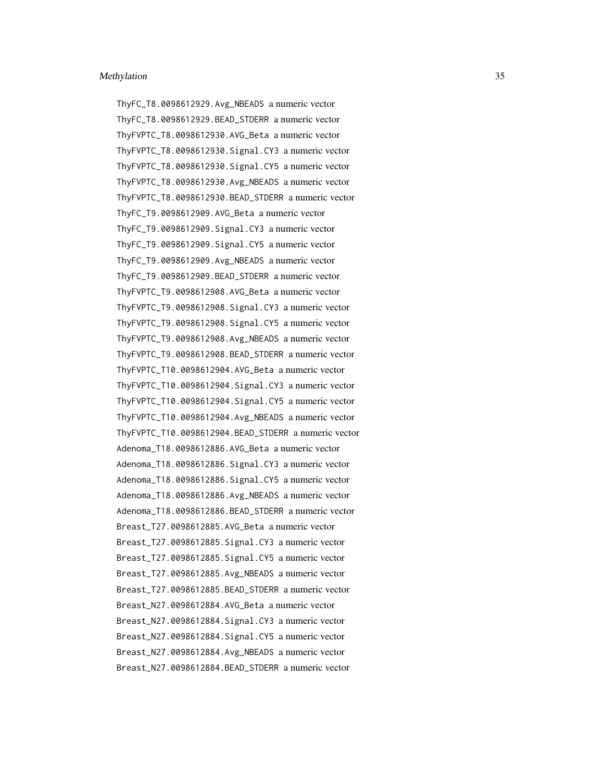ThyFC\_T8.0098612929.Avg\_NBEADS a numeric vector ThyFC\_T8.0098612929.BEAD\_STDERR a numeric vector ThyFVPTC\_T8.0098612930.AVG\_Beta a numeric vector ThyFVPTC\_T8.0098612930.Signal.CY3 a numeric vector ThyFVPTC\_T8.0098612930.Signal.CY5 a numeric vector ThyFVPTC\_T8.0098612930.Avg\_NBEADS a numeric vector ThyFVPTC\_T8.0098612930.BEAD\_STDERR a numeric vector ThyFC\_T9.0098612909.AVG\_Beta a numeric vector ThyFC\_T9.0098612909.Signal.CY3 a numeric vector ThyFC\_T9.0098612909.Signal.CY5 a numeric vector ThyFC\_T9.0098612909.Avg\_NBEADS a numeric vector ThyFC\_T9.0098612909.BEAD\_STDERR a numeric vector ThyFVPTC\_T9.0098612908.AVG\_Beta a numeric vector ThyFVPTC\_T9.0098612908.Signal.CY3 a numeric vector ThyFVPTC\_T9.0098612908.Signal.CY5 a numeric vector ThyFVPTC\_T9.0098612908.Avg\_NBEADS a numeric vector ThyFVPTC\_T9.0098612908.BEAD\_STDERR a numeric vector ThyFVPTC\_T10.0098612904.AVG\_Beta a numeric vector ThyFVPTC\_T10.0098612904.Signal.CY3 a numeric vector ThyFVPTC\_T10.0098612904.Signal.CY5 a numeric vector ThyFVPTC\_T10.0098612904.Avg\_NBEADS a numeric vector ThyFVPTC\_T10.0098612904.BEAD\_STDERR a numeric vector Adenoma\_T18.0098612886.AVG\_Beta a numeric vector Adenoma\_T18.0098612886.Signal.CY3 a numeric vector Adenoma\_T18.0098612886.Signal.CY5 a numeric vector Adenoma\_T18.0098612886.Avg\_NBEADS a numeric vector Adenoma\_T18.0098612886.BEAD\_STDERR a numeric vector Breast\_T27.0098612885.AVG\_Beta a numeric vector Breast\_T27.0098612885.Signal.CY3 a numeric vector Breast\_T27.0098612885.Signal.CY5 a numeric vector Breast\_T27.0098612885.Avg\_NBEADS a numeric vector Breast\_T27.0098612885.BEAD\_STDERR a numeric vector Breast\_N27.0098612884.AVG\_Beta a numeric vector Breast\_N27.0098612884.Signal.CY3 a numeric vector Breast\_N27.0098612884.Signal.CY5 a numeric vector Breast\_N27.0098612884.Avg\_NBEADS a numeric vector Breast\_N27.0098612884.BEAD\_STDERR a numeric vector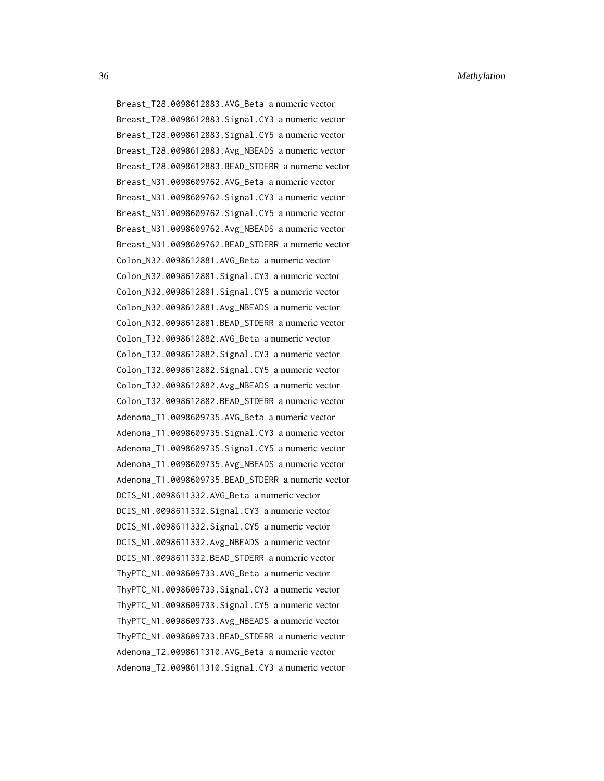Breast\_T28.0098612883.AVG\_Beta a numeric vector Breast\_T28.0098612883.Signal.CY3 a numeric vector Breast\_T28.0098612883.Signal.CY5 a numeric vector Breast\_T28.0098612883.Avg\_NBEADS a numeric vector Breast\_T28.0098612883.BEAD\_STDERR a numeric vector Breast\_N31.0098609762.AVG\_Beta a numeric vector Breast\_N31.0098609762.Signal.CY3 a numeric vector Breast\_N31.0098609762.Signal.CY5 a numeric vector Breast\_N31.0098609762.Avg\_NBEADS a numeric vector Breast\_N31.0098609762.BEAD\_STDERR a numeric vector Colon\_N32.0098612881.AVG\_Beta a numeric vector Colon\_N32.0098612881.Signal.CY3 a numeric vector Colon\_N32.0098612881.Signal.CY5 a numeric vector Colon\_N32.0098612881.Avg\_NBEADS a numeric vector Colon\_N32.0098612881.BEAD\_STDERR a numeric vector Colon\_T32.0098612882.AVG\_Beta a numeric vector Colon\_T32.0098612882.Signal.CY3 a numeric vector Colon\_T32.0098612882.Signal.CY5 a numeric vector Colon\_T32.0098612882.Avg\_NBEADS a numeric vector Colon\_T32.0098612882.BEAD\_STDERR a numeric vector Adenoma\_T1.0098609735.AVG\_Beta a numeric vector Adenoma\_T1.0098609735.Signal.CY3 a numeric vector Adenoma\_T1.0098609735.Signal.CY5 a numeric vector Adenoma\_T1.0098609735.Avg\_NBEADS a numeric vector Adenoma\_T1.0098609735.BEAD\_STDERR a numeric vector DCIS\_N1.0098611332.AVG\_Beta a numeric vector DCIS\_N1.0098611332.Signal.CY3 a numeric vector DCIS\_N1.0098611332.Signal.CY5 a numeric vector DCIS\_N1.0098611332.Avg\_NBEADS a numeric vector DCIS\_N1.0098611332.BEAD\_STDERR a numeric vector ThyPTC\_N1.0098609733.AVG\_Beta a numeric vector ThyPTC\_N1.0098609733.Signal.CY3 a numeric vector ThyPTC\_N1.0098609733.Signal.CY5 a numeric vector ThyPTC\_N1.0098609733.Avg\_NBEADS a numeric vector ThyPTC\_N1.0098609733.BEAD\_STDERR a numeric vector Adenoma\_T2.0098611310.AVG\_Beta a numeric vector Adenoma\_T2.0098611310.Signal.CY3 a numeric vector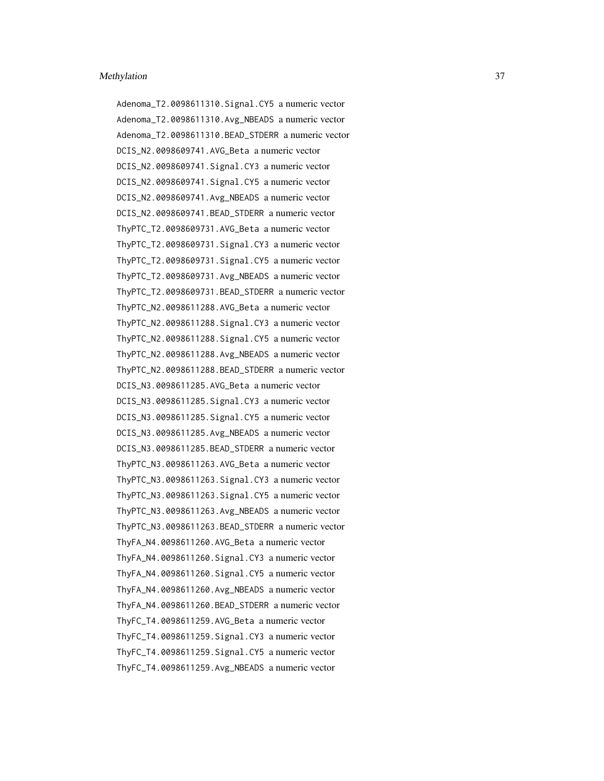Adenoma\_T2.0098611310.Signal.CY5 a numeric vector Adenoma\_T2.0098611310.Avg\_NBEADS a numeric vector Adenoma\_T2.0098611310.BEAD\_STDERR a numeric vector DCIS\_N2.0098609741.AVG\_Beta a numeric vector DCIS\_N2.0098609741.Signal.CY3 a numeric vector DCIS\_N2.0098609741.Signal.CY5 a numeric vector DCIS\_N2.0098609741.Avg\_NBEADS a numeric vector DCIS\_N2.0098609741.BEAD\_STDERR a numeric vector ThyPTC\_T2.0098609731.AVG\_Beta a numeric vector ThyPTC\_T2.0098609731.Signal.CY3 a numeric vector ThyPTC\_T2.0098609731.Signal.CY5 a numeric vector ThyPTC\_T2.0098609731.Avg\_NBEADS a numeric vector ThyPTC\_T2.0098609731.BEAD\_STDERR a numeric vector ThyPTC\_N2.0098611288.AVG\_Beta a numeric vector ThyPTC\_N2.0098611288.Signal.CY3 a numeric vector ThyPTC\_N2.0098611288.Signal.CY5 a numeric vector ThyPTC\_N2.0098611288.Avg\_NBEADS a numeric vector ThyPTC\_N2.0098611288.BEAD\_STDERR a numeric vector DCIS\_N3.0098611285.AVG\_Beta a numeric vector DCIS\_N3.0098611285.Signal.CY3 a numeric vector DCIS\_N3.0098611285.Signal.CY5 a numeric vector DCIS\_N3.0098611285.Avg\_NBEADS a numeric vector DCIS\_N3.0098611285.BEAD\_STDERR a numeric vector ThyPTC\_N3.0098611263.AVG\_Beta a numeric vector ThyPTC\_N3.0098611263.Signal.CY3 a numeric vector ThyPTC\_N3.0098611263.Signal.CY5 a numeric vector ThyPTC\_N3.0098611263.Avg\_NBEADS a numeric vector ThyPTC\_N3.0098611263.BEAD\_STDERR a numeric vector ThyFA\_N4.0098611260.AVG\_Beta a numeric vector ThyFA\_N4.0098611260.Signal.CY3 a numeric vector ThyFA\_N4.0098611260.Signal.CY5 a numeric vector ThyFA\_N4.0098611260.Avg\_NBEADS a numeric vector ThyFA\_N4.0098611260.BEAD\_STDERR a numeric vector ThyFC\_T4.0098611259.AVG\_Beta a numeric vector ThyFC\_T4.0098611259.Signal.CY3 a numeric vector ThyFC\_T4.0098611259.Signal.CY5 a numeric vector ThyFC\_T4.0098611259.Avg\_NBEADS a numeric vector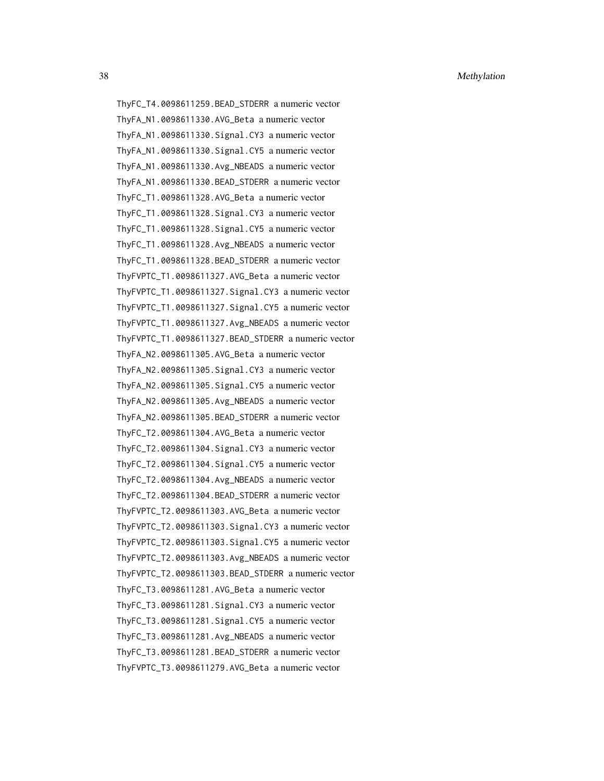ThyFC\_T4.0098611259.BEAD\_STDERR a numeric vector ThyFA\_N1.0098611330.AVG\_Beta a numeric vector ThyFA\_N1.0098611330.Signal.CY3 a numeric vector ThyFA\_N1.0098611330.Signal.CY5 a numeric vector ThyFA\_N1.0098611330.Avg\_NBEADS a numeric vector ThyFA\_N1.0098611330.BEAD\_STDERR a numeric vector ThyFC\_T1.0098611328.AVG\_Beta a numeric vector ThyFC\_T1.0098611328.Signal.CY3 a numeric vector ThyFC\_T1.0098611328.Signal.CY5 a numeric vector ThyFC\_T1.0098611328.Avg\_NBEADS a numeric vector ThyFC\_T1.0098611328.BEAD\_STDERR a numeric vector ThyFVPTC\_T1.0098611327.AVG\_Beta a numeric vector ThyFVPTC\_T1.0098611327.Signal.CY3 a numeric vector ThyFVPTC\_T1.0098611327.Signal.CY5 a numeric vector ThyFVPTC\_T1.0098611327.Avg\_NBEADS a numeric vector ThyFVPTC\_T1.0098611327.BEAD\_STDERR a numeric vector ThyFA\_N2.0098611305.AVG\_Beta a numeric vector ThyFA\_N2.0098611305.Signal.CY3 a numeric vector ThyFA\_N2.0098611305.Signal.CY5 a numeric vector ThyFA\_N2.0098611305.Avg\_NBEADS a numeric vector ThyFA\_N2.0098611305.BEAD\_STDERR a numeric vector ThyFC\_T2.0098611304.AVG\_Beta a numeric vector ThyFC\_T2.0098611304.Signal.CY3 a numeric vector ThyFC\_T2.0098611304.Signal.CY5 a numeric vector ThyFC\_T2.0098611304.Avg\_NBEADS a numeric vector ThyFC\_T2.0098611304.BEAD\_STDERR a numeric vector ThyFVPTC\_T2.0098611303.AVG\_Beta a numeric vector ThyFVPTC\_T2.0098611303.Signal.CY3 a numeric vector ThyFVPTC\_T2.0098611303.Signal.CY5 a numeric vector ThyFVPTC\_T2.0098611303.Avg\_NBEADS a numeric vector ThyFVPTC\_T2.0098611303.BEAD\_STDERR a numeric vector ThyFC\_T3.0098611281.AVG\_Beta a numeric vector ThyFC\_T3.0098611281.Signal.CY3 a numeric vector ThyFC\_T3.0098611281.Signal.CY5 a numeric vector ThyFC\_T3.0098611281.Avg\_NBEADS a numeric vector ThyFC\_T3.0098611281.BEAD\_STDERR a numeric vector ThyFVPTC\_T3.0098611279.AVG\_Beta a numeric vector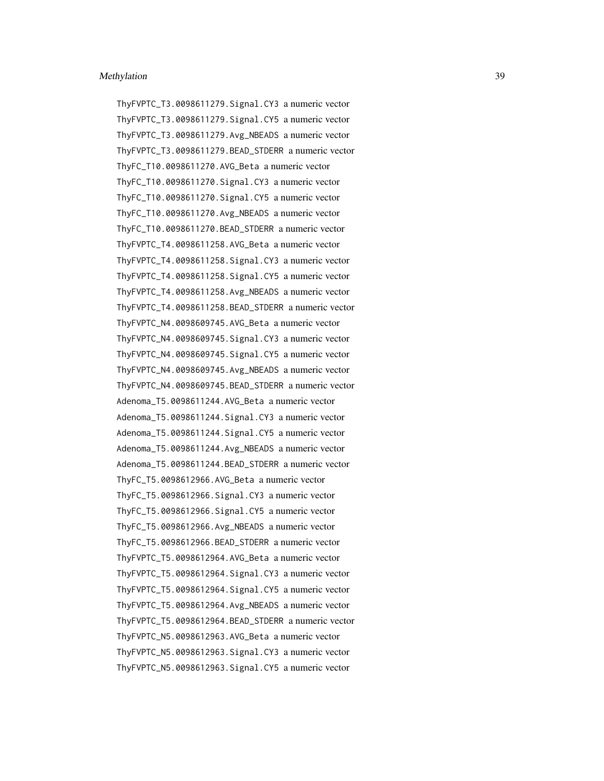ThyFVPTC\_T3.0098611279.Signal.CY3 a numeric vector ThyFVPTC\_T3.0098611279.Signal.CY5 a numeric vector ThyFVPTC\_T3.0098611279.Avg\_NBEADS a numeric vector ThyFVPTC\_T3.0098611279.BEAD\_STDERR a numeric vector ThyFC\_T10.0098611270.AVG\_Beta a numeric vector ThyFC\_T10.0098611270.Signal.CY3 a numeric vector ThyFC\_T10.0098611270.Signal.CY5 a numeric vector ThyFC\_T10.0098611270.Avg\_NBEADS a numeric vector ThyFC\_T10.0098611270.BEAD\_STDERR a numeric vector ThyFVPTC\_T4.0098611258.AVG\_Beta a numeric vector ThyFVPTC\_T4.0098611258.Signal.CY3 a numeric vector ThyFVPTC\_T4.0098611258.Signal.CY5 a numeric vector ThyFVPTC\_T4.0098611258.Avg\_NBEADS a numeric vector ThyFVPTC\_T4.0098611258.BEAD\_STDERR a numeric vector ThyFVPTC\_N4.0098609745.AVG\_Beta a numeric vector ThyFVPTC\_N4.0098609745.Signal.CY3 a numeric vector ThyFVPTC\_N4.0098609745.Signal.CY5 a numeric vector ThyFVPTC\_N4.0098609745.Avg\_NBEADS a numeric vector ThyFVPTC\_N4.0098609745.BEAD\_STDERR a numeric vector Adenoma\_T5.0098611244.AVG\_Beta a numeric vector Adenoma\_T5.0098611244.Signal.CY3 a numeric vector Adenoma\_T5.0098611244.Signal.CY5 a numeric vector Adenoma\_T5.0098611244.Avg\_NBEADS a numeric vector Adenoma\_T5.0098611244.BEAD\_STDERR a numeric vector ThyFC\_T5.0098612966.AVG\_Beta a numeric vector ThyFC\_T5.0098612966.Signal.CY3 a numeric vector ThyFC\_T5.0098612966.Signal.CY5 a numeric vector ThyFC\_T5.0098612966.Avg\_NBEADS a numeric vector ThyFC\_T5.0098612966.BEAD\_STDERR a numeric vector ThyFVPTC\_T5.0098612964.AVG\_Beta a numeric vector ThyFVPTC\_T5.0098612964.Signal.CY3 a numeric vector ThyFVPTC\_T5.0098612964.Signal.CY5 a numeric vector ThyFVPTC\_T5.0098612964.Avg\_NBEADS a numeric vector ThyFVPTC\_T5.0098612964.BEAD\_STDERR a numeric vector ThyFVPTC\_N5.0098612963.AVG\_Beta a numeric vector ThyFVPTC\_N5.0098612963.Signal.CY3 a numeric vector ThyFVPTC\_N5.0098612963.Signal.CY5 a numeric vector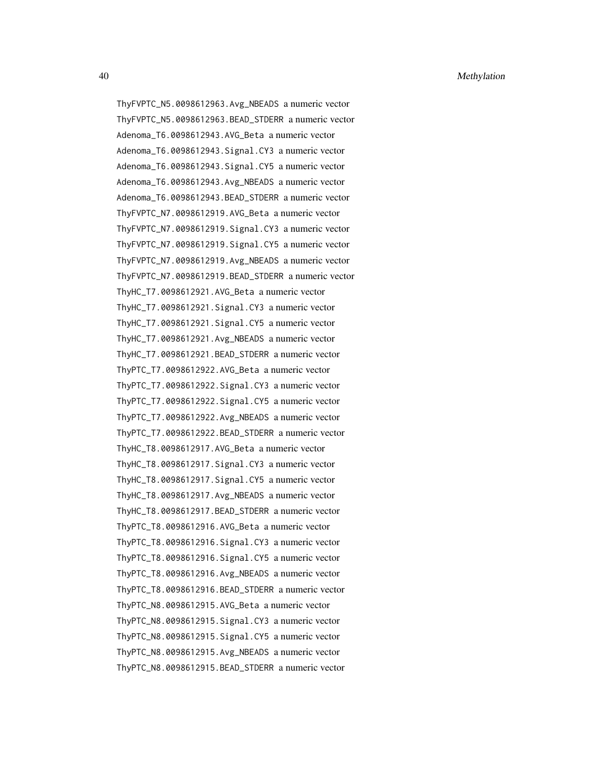ThyFVPTC\_N5.0098612963.Avg\_NBEADS a numeric vector ThyFVPTC\_N5.0098612963.BEAD\_STDERR a numeric vector Adenoma\_T6.0098612943.AVG\_Beta a numeric vector Adenoma\_T6.0098612943.Signal.CY3 a numeric vector Adenoma\_T6.0098612943.Signal.CY5 a numeric vector Adenoma\_T6.0098612943.Avg\_NBEADS a numeric vector Adenoma\_T6.0098612943.BEAD\_STDERR a numeric vector ThyFVPTC\_N7.0098612919.AVG\_Beta a numeric vector ThyFVPTC\_N7.0098612919.Signal.CY3 a numeric vector ThyFVPTC\_N7.0098612919.Signal.CY5 a numeric vector ThyFVPTC\_N7.0098612919.Avg\_NBEADS a numeric vector ThyFVPTC\_N7.0098612919.BEAD\_STDERR a numeric vector ThyHC\_T7.0098612921.AVG\_Beta a numeric vector ThyHC\_T7.0098612921.Signal.CY3 a numeric vector ThyHC\_T7.0098612921.Signal.CY5 a numeric vector ThyHC\_T7.0098612921.Avg\_NBEADS a numeric vector ThyHC\_T7.0098612921.BEAD\_STDERR a numeric vector ThyPTC\_T7.0098612922.AVG\_Beta a numeric vector ThyPTC\_T7.0098612922.Signal.CY3 a numeric vector ThyPTC\_T7.0098612922.Signal.CY5 a numeric vector ThyPTC\_T7.0098612922.Avg\_NBEADS a numeric vector ThyPTC\_T7.0098612922.BEAD\_STDERR a numeric vector ThyHC\_T8.0098612917.AVG\_Beta a numeric vector ThyHC\_T8.0098612917.Signal.CY3 a numeric vector ThyHC\_T8.0098612917.Signal.CY5 a numeric vector ThyHC\_T8.0098612917.Avg\_NBEADS a numeric vector ThyHC\_T8.0098612917.BEAD\_STDERR a numeric vector ThyPTC\_T8.0098612916.AVG\_Beta a numeric vector ThyPTC\_T8.0098612916.Signal.CY3 a numeric vector ThyPTC\_T8.0098612916.Signal.CY5 a numeric vector ThyPTC\_T8.0098612916.Avg\_NBEADS a numeric vector ThyPTC\_T8.0098612916.BEAD\_STDERR a numeric vector ThyPTC\_N8.0098612915.AVG\_Beta a numeric vector ThyPTC\_N8.0098612915.Signal.CY3 a numeric vector ThyPTC\_N8.0098612915.Signal.CY5 a numeric vector ThyPTC\_N8.0098612915.Avg\_NBEADS a numeric vector ThyPTC\_N8.0098612915.BEAD\_STDERR a numeric vector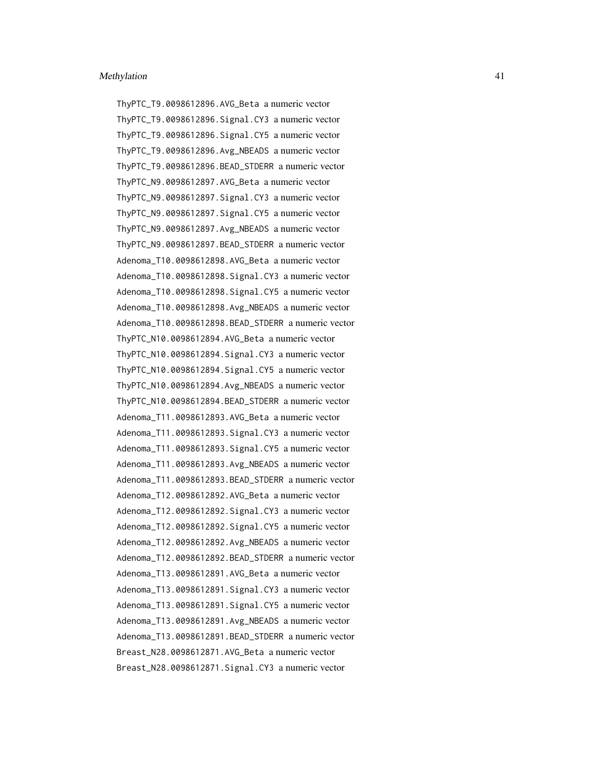ThyPTC\_T9.0098612896.AVG\_Beta a numeric vector ThyPTC\_T9.0098612896.Signal.CY3 a numeric vector ThyPTC\_T9.0098612896.Signal.CY5 a numeric vector ThyPTC\_T9.0098612896.Avg\_NBEADS a numeric vector ThyPTC\_T9.0098612896.BEAD\_STDERR a numeric vector ThyPTC\_N9.0098612897.AVG\_Beta a numeric vector ThyPTC\_N9.0098612897.Signal.CY3 a numeric vector ThyPTC\_N9.0098612897.Signal.CY5 a numeric vector ThyPTC\_N9.0098612897.Avg\_NBEADS a numeric vector ThyPTC\_N9.0098612897.BEAD\_STDERR a numeric vector Adenoma\_T10.0098612898.AVG\_Beta a numeric vector Adenoma\_T10.0098612898.Signal.CY3 a numeric vector Adenoma\_T10.0098612898.Signal.CY5 a numeric vector Adenoma\_T10.0098612898.Avg\_NBEADS a numeric vector Adenoma\_T10.0098612898.BEAD\_STDERR a numeric vector ThyPTC\_N10.0098612894.AVG\_Beta a numeric vector ThyPTC\_N10.0098612894.Signal.CY3 a numeric vector ThyPTC\_N10.0098612894.Signal.CY5 a numeric vector ThyPTC\_N10.0098612894.Avg\_NBEADS a numeric vector ThyPTC\_N10.0098612894.BEAD\_STDERR a numeric vector Adenoma\_T11.0098612893.AVG\_Beta a numeric vector Adenoma\_T11.0098612893.Signal.CY3 a numeric vector Adenoma\_T11.0098612893.Signal.CY5 a numeric vector Adenoma\_T11.0098612893.Avg\_NBEADS a numeric vector Adenoma\_T11.0098612893.BEAD\_STDERR a numeric vector Adenoma\_T12.0098612892.AVG\_Beta a numeric vector Adenoma\_T12.0098612892.Signal.CY3 a numeric vector Adenoma\_T12.0098612892.Signal.CY5 a numeric vector Adenoma\_T12.0098612892.Avg\_NBEADS a numeric vector Adenoma\_T12.0098612892.BEAD\_STDERR a numeric vector Adenoma\_T13.0098612891.AVG\_Beta a numeric vector Adenoma\_T13.0098612891.Signal.CY3 a numeric vector Adenoma\_T13.0098612891.Signal.CY5 a numeric vector Adenoma\_T13.0098612891.Avg\_NBEADS a numeric vector Adenoma\_T13.0098612891.BEAD\_STDERR a numeric vector Breast\_N28.0098612871.AVG\_Beta a numeric vector Breast\_N28.0098612871.Signal.CY3 a numeric vector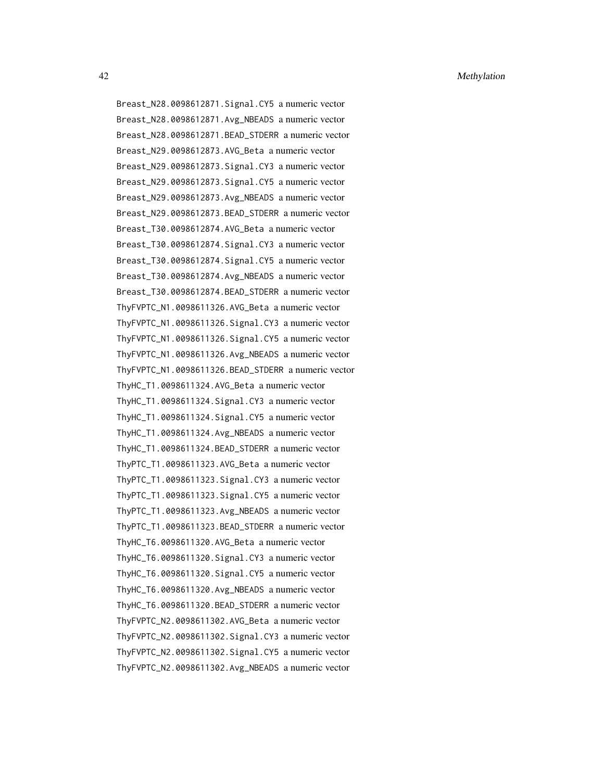Breast\_N28.0098612871.Signal.CY5 a numeric vector Breast\_N28.0098612871.Avg\_NBEADS a numeric vector Breast\_N28.0098612871.BEAD\_STDERR a numeric vector Breast\_N29.0098612873.AVG\_Beta a numeric vector Breast\_N29.0098612873.Signal.CY3 a numeric vector Breast\_N29.0098612873.Signal.CY5 a numeric vector Breast\_N29.0098612873.Avg\_NBEADS a numeric vector Breast\_N29.0098612873.BEAD\_STDERR a numeric vector Breast\_T30.0098612874.AVG\_Beta a numeric vector Breast\_T30.0098612874.Signal.CY3 a numeric vector Breast\_T30.0098612874.Signal.CY5 a numeric vector Breast\_T30.0098612874.Avg\_NBEADS a numeric vector Breast\_T30.0098612874.BEAD\_STDERR a numeric vector ThyFVPTC\_N1.0098611326.AVG\_Beta a numeric vector ThyFVPTC\_N1.0098611326.Signal.CY3 a numeric vector ThyFVPTC\_N1.0098611326.Signal.CY5 a numeric vector ThyFVPTC\_N1.0098611326.Avg\_NBEADS a numeric vector ThyFVPTC\_N1.0098611326.BEAD\_STDERR a numeric vector ThyHC\_T1.0098611324.AVG\_Beta a numeric vector ThyHC\_T1.0098611324.Signal.CY3 a numeric vector ThyHC\_T1.0098611324.Signal.CY5 a numeric vector ThyHC\_T1.0098611324.Avg\_NBEADS a numeric vector ThyHC\_T1.0098611324.BEAD\_STDERR a numeric vector ThyPTC\_T1.0098611323.AVG\_Beta a numeric vector ThyPTC\_T1.0098611323.Signal.CY3 a numeric vector ThyPTC\_T1.0098611323.Signal.CY5 a numeric vector ThyPTC\_T1.0098611323.Avg\_NBEADS a numeric vector ThyPTC\_T1.0098611323.BEAD\_STDERR a numeric vector ThyHC\_T6.0098611320.AVG\_Beta a numeric vector ThyHC\_T6.0098611320.Signal.CY3 a numeric vector ThyHC\_T6.0098611320.Signal.CY5 a numeric vector ThyHC\_T6.0098611320.Avg\_NBEADS a numeric vector ThyHC\_T6.0098611320.BEAD\_STDERR a numeric vector ThyFVPTC\_N2.0098611302.AVG\_Beta a numeric vector ThyFVPTC\_N2.0098611302.Signal.CY3 a numeric vector ThyFVPTC\_N2.0098611302.Signal.CY5 a numeric vector ThyFVPTC\_N2.0098611302.Avg\_NBEADS a numeric vector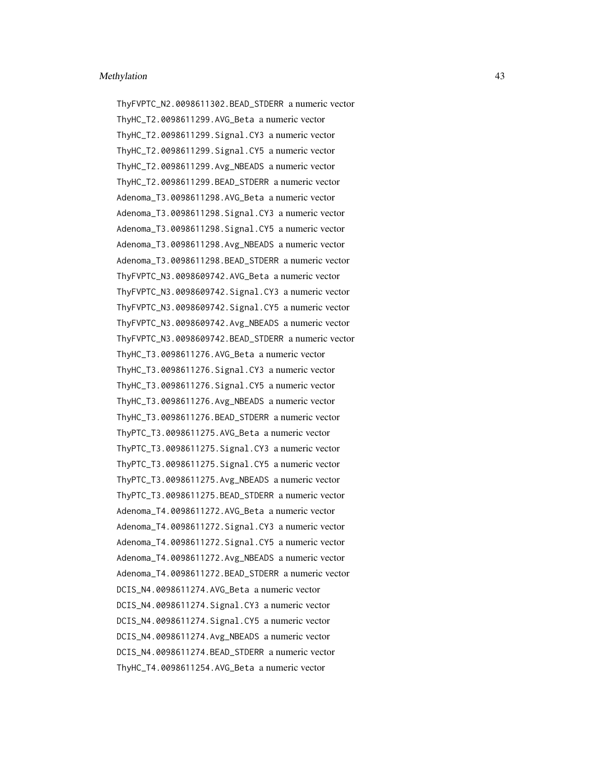ThyFVPTC\_N2.0098611302.BEAD\_STDERR a numeric vector ThyHC\_T2.0098611299.AVG\_Beta a numeric vector ThyHC\_T2.0098611299.Signal.CY3 a numeric vector ThyHC\_T2.0098611299.Signal.CY5 a numeric vector ThyHC\_T2.0098611299.Avg\_NBEADS a numeric vector ThyHC\_T2.0098611299.BEAD\_STDERR a numeric vector Adenoma\_T3.0098611298.AVG\_Beta a numeric vector Adenoma\_T3.0098611298.Signal.CY3 a numeric vector Adenoma\_T3.0098611298.Signal.CY5 a numeric vector Adenoma\_T3.0098611298.Avg\_NBEADS a numeric vector Adenoma\_T3.0098611298.BEAD\_STDERR a numeric vector ThyFVPTC\_N3.0098609742.AVG\_Beta a numeric vector ThyFVPTC\_N3.0098609742.Signal.CY3 a numeric vector ThyFVPTC\_N3.0098609742.Signal.CY5 a numeric vector ThyFVPTC\_N3.0098609742.Avg\_NBEADS a numeric vector ThyFVPTC\_N3.0098609742.BEAD\_STDERR a numeric vector ThyHC\_T3.0098611276.AVG\_Beta a numeric vector ThyHC\_T3.0098611276.Signal.CY3 a numeric vector ThyHC\_T3.0098611276.Signal.CY5 a numeric vector ThyHC\_T3.0098611276.Avg\_NBEADS a numeric vector ThyHC\_T3.0098611276.BEAD\_STDERR a numeric vector ThyPTC\_T3.0098611275.AVG\_Beta a numeric vector ThyPTC\_T3.0098611275.Signal.CY3 a numeric vector ThyPTC\_T3.0098611275.Signal.CY5 a numeric vector ThyPTC\_T3.0098611275.Avg\_NBEADS a numeric vector ThyPTC\_T3.0098611275.BEAD\_STDERR a numeric vector Adenoma\_T4.0098611272.AVG\_Beta a numeric vector Adenoma\_T4.0098611272.Signal.CY3 a numeric vector Adenoma\_T4.0098611272.Signal.CY5 a numeric vector Adenoma\_T4.0098611272.Avg\_NBEADS a numeric vector Adenoma\_T4.0098611272.BEAD\_STDERR a numeric vector DCIS\_N4.0098611274.AVG\_Beta a numeric vector DCIS\_N4.0098611274.Signal.CY3 a numeric vector DCIS\_N4.0098611274.Signal.CY5 a numeric vector DCIS\_N4.0098611274.Avg\_NBEADS a numeric vector DCIS\_N4.0098611274.BEAD\_STDERR a numeric vector ThyHC\_T4.0098611254.AVG\_Beta a numeric vector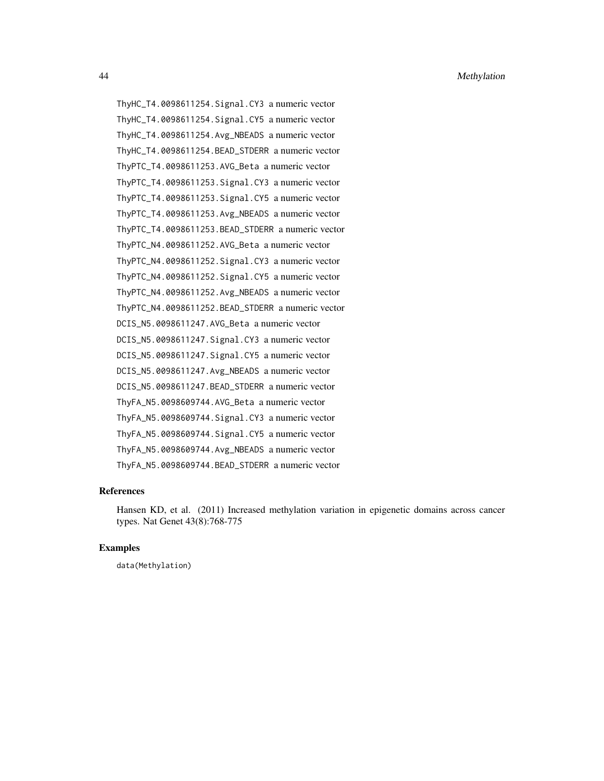ThyHC\_T4.0098611254.Signal.CY3 a numeric vector ThyHC\_T4.0098611254.Signal.CY5 a numeric vector ThyHC\_T4.0098611254.Avg\_NBEADS a numeric vector ThyHC\_T4.0098611254.BEAD\_STDERR a numeric vector ThyPTC\_T4.0098611253.AVG\_Beta a numeric vector ThyPTC\_T4.0098611253.Signal.CY3 a numeric vector ThyPTC\_T4.0098611253.Signal.CY5 a numeric vector ThyPTC\_T4.0098611253.Avg\_NBEADS a numeric vector ThyPTC\_T4.0098611253.BEAD\_STDERR a numeric vector ThyPTC\_N4.0098611252.AVG\_Beta a numeric vector ThyPTC\_N4.0098611252.Signal.CY3 a numeric vector ThyPTC\_N4.0098611252.Signal.CY5 a numeric vector ThyPTC\_N4.0098611252.Avg\_NBEADS a numeric vector ThyPTC\_N4.0098611252.BEAD\_STDERR a numeric vector DCIS\_N5.0098611247.AVG\_Beta a numeric vector DCIS\_N5.0098611247.Signal.CY3 a numeric vector DCIS\_N5.0098611247.Signal.CY5 a numeric vector DCIS\_N5.0098611247.Avg\_NBEADS a numeric vector DCIS\_N5.0098611247.BEAD\_STDERR a numeric vector ThyFA\_N5.0098609744.AVG\_Beta a numeric vector ThyFA\_N5.0098609744.Signal.CY3 a numeric vector ThyFA\_N5.0098609744.Signal.CY5 a numeric vector ThyFA\_N5.0098609744.Avg\_NBEADS a numeric vector ThyFA\_N5.0098609744.BEAD\_STDERR a numeric vector

#### References

Hansen KD, et al. (2011) Increased methylation variation in epigenetic domains across cancer types. Nat Genet 43(8):768-775

#### Examples

data(Methylation)